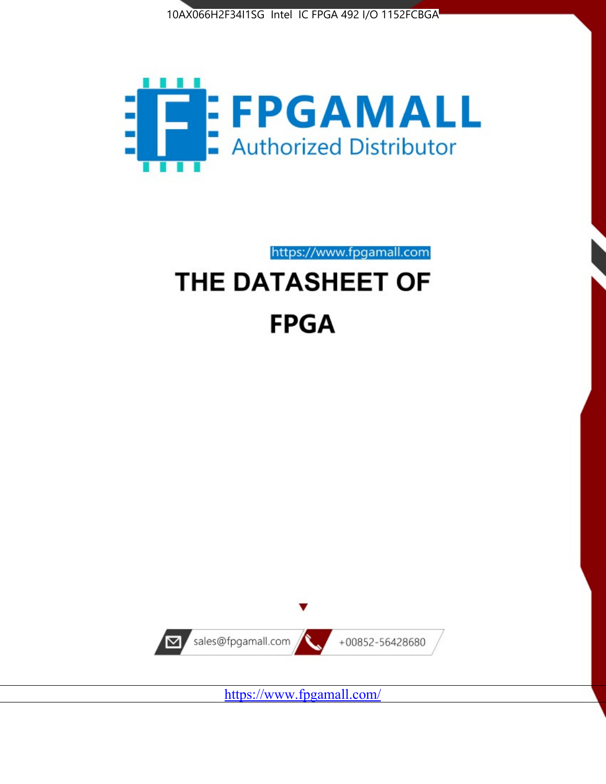



https://www.fpgamall.com

# THE DATASHEET OF **FPGA**



<https://www.fpgamall.com/>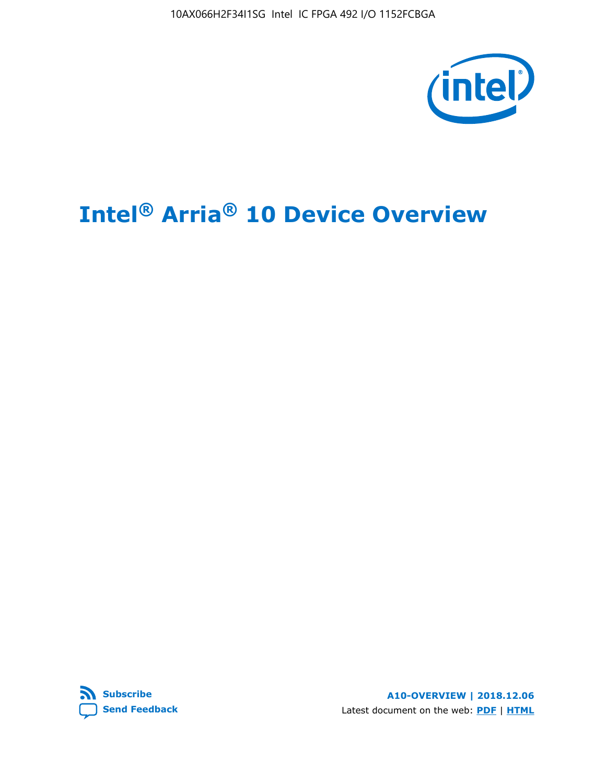10AX066H2F34I1SG Intel IC FPGA 492 I/O 1152FCBGA



# **Intel® Arria® 10 Device Overview**



**A10-OVERVIEW | 2018.12.06** Latest document on the web: **[PDF](https://www.intel.com/content/dam/www/programmable/us/en/pdfs/literature/hb/arria-10/a10_overview.pdf)** | **[HTML](https://www.intel.com/content/www/us/en/programmable/documentation/sam1403480274650.html)**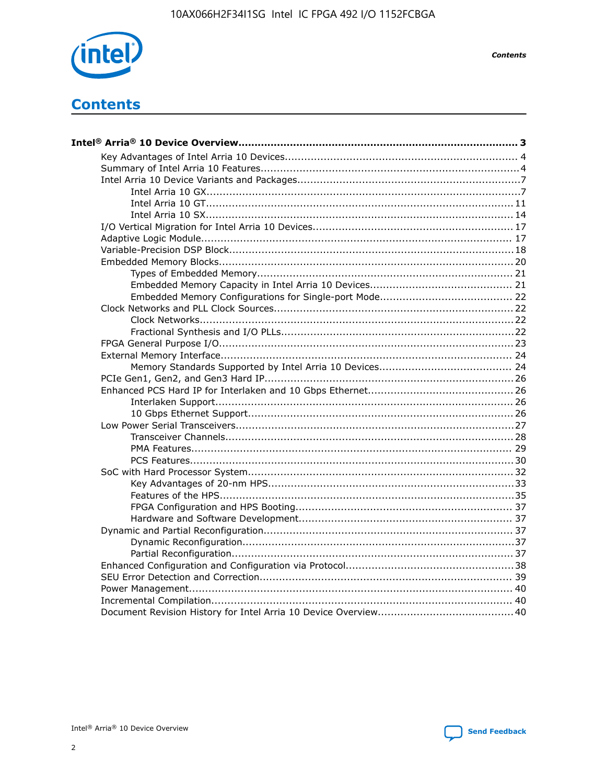

**Contents** 

# **Contents**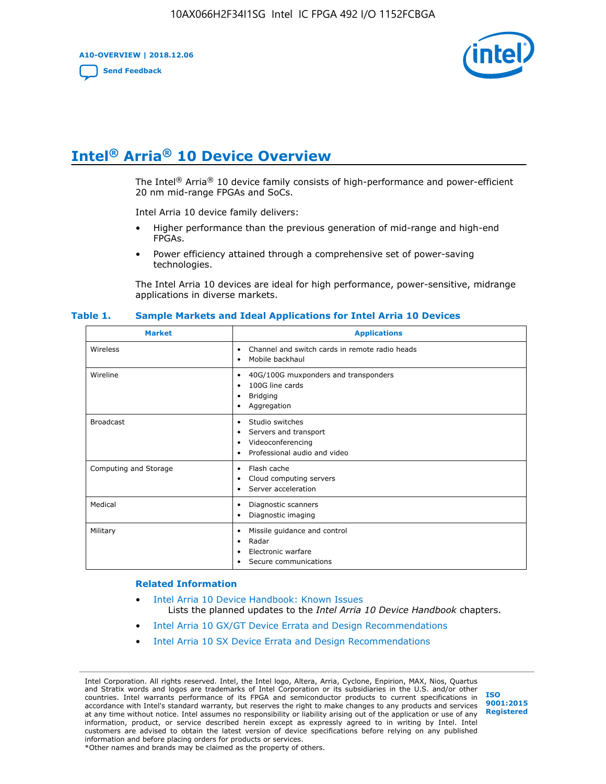**A10-OVERVIEW | 2018.12.06**

**[Send Feedback](mailto:FPGAtechdocfeedback@intel.com?subject=Feedback%20on%20Intel%20Arria%2010%20Device%20Overview%20(A10-OVERVIEW%202018.12.06)&body=We%20appreciate%20your%20feedback.%20In%20your%20comments,%20also%20specify%20the%20page%20number%20or%20paragraph.%20Thank%20you.)**



# **Intel® Arria® 10 Device Overview**

The Intel<sup>®</sup> Arria<sup>®</sup> 10 device family consists of high-performance and power-efficient 20 nm mid-range FPGAs and SoCs.

Intel Arria 10 device family delivers:

- Higher performance than the previous generation of mid-range and high-end FPGAs.
- Power efficiency attained through a comprehensive set of power-saving technologies.

The Intel Arria 10 devices are ideal for high performance, power-sensitive, midrange applications in diverse markets.

| <b>Market</b>         | <b>Applications</b>                                                                                               |
|-----------------------|-------------------------------------------------------------------------------------------------------------------|
| Wireless              | Channel and switch cards in remote radio heads<br>٠<br>Mobile backhaul<br>٠                                       |
| Wireline              | 40G/100G muxponders and transponders<br>٠<br>100G line cards<br>٠<br><b>Bridging</b><br>٠<br>Aggregation<br>٠     |
| <b>Broadcast</b>      | Studio switches<br>٠<br>Servers and transport<br>٠<br>Videoconferencing<br>٠<br>Professional audio and video<br>٠ |
| Computing and Storage | Flash cache<br>٠<br>Cloud computing servers<br>٠<br>Server acceleration<br>٠                                      |
| Medical               | Diagnostic scanners<br>٠<br>Diagnostic imaging<br>٠                                                               |
| Military              | Missile guidance and control<br>٠<br>Radar<br>٠<br>Electronic warfare<br>٠<br>Secure communications<br>٠          |

#### **Table 1. Sample Markets and Ideal Applications for Intel Arria 10 Devices**

#### **Related Information**

- [Intel Arria 10 Device Handbook: Known Issues](http://www.altera.com/support/kdb/solutions/rd07302013_646.html) Lists the planned updates to the *Intel Arria 10 Device Handbook* chapters.
- [Intel Arria 10 GX/GT Device Errata and Design Recommendations](https://www.intel.com/content/www/us/en/programmable/documentation/agz1493851706374.html#yqz1494433888646)
- [Intel Arria 10 SX Device Errata and Design Recommendations](https://www.intel.com/content/www/us/en/programmable/documentation/cru1462832385668.html#cru1462832558642)

Intel Corporation. All rights reserved. Intel, the Intel logo, Altera, Arria, Cyclone, Enpirion, MAX, Nios, Quartus and Stratix words and logos are trademarks of Intel Corporation or its subsidiaries in the U.S. and/or other countries. Intel warrants performance of its FPGA and semiconductor products to current specifications in accordance with Intel's standard warranty, but reserves the right to make changes to any products and services at any time without notice. Intel assumes no responsibility or liability arising out of the application or use of any information, product, or service described herein except as expressly agreed to in writing by Intel. Intel customers are advised to obtain the latest version of device specifications before relying on any published information and before placing orders for products or services. \*Other names and brands may be claimed as the property of others.

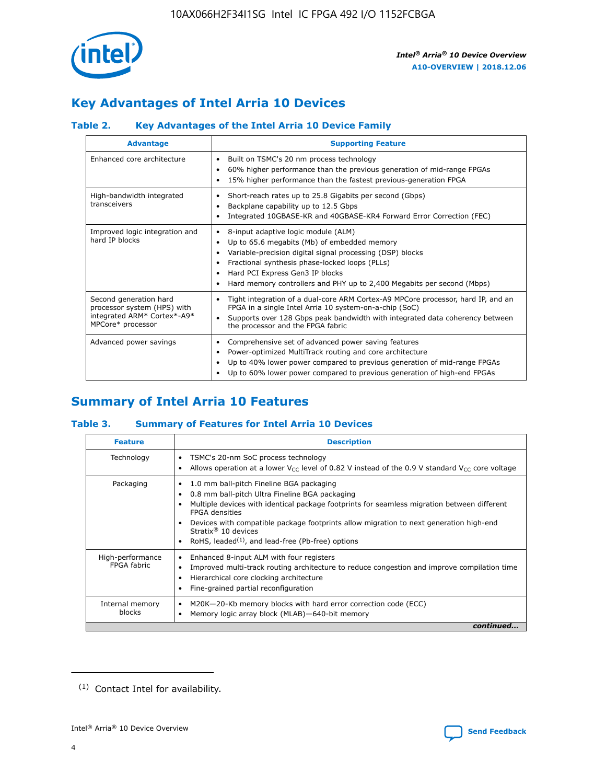

## **Key Advantages of Intel Arria 10 Devices**

## **Table 2. Key Advantages of the Intel Arria 10 Device Family**

| <b>Advantage</b>                                                                                          | <b>Supporting Feature</b>                                                                                                                                                                                                                                                                                                |  |  |  |  |  |  |
|-----------------------------------------------------------------------------------------------------------|--------------------------------------------------------------------------------------------------------------------------------------------------------------------------------------------------------------------------------------------------------------------------------------------------------------------------|--|--|--|--|--|--|
| Enhanced core architecture                                                                                | Built on TSMC's 20 nm process technology<br>٠<br>60% higher performance than the previous generation of mid-range FPGAs<br>٠<br>15% higher performance than the fastest previous-generation FPGA<br>٠                                                                                                                    |  |  |  |  |  |  |
| High-bandwidth integrated<br>transceivers                                                                 | Short-reach rates up to 25.8 Gigabits per second (Gbps)<br>٠<br>Backplane capability up to 12.5 Gbps<br>٠<br>Integrated 10GBASE-KR and 40GBASE-KR4 Forward Error Correction (FEC)<br>٠                                                                                                                                   |  |  |  |  |  |  |
| Improved logic integration and<br>hard IP blocks                                                          | 8-input adaptive logic module (ALM)<br>٠<br>Up to 65.6 megabits (Mb) of embedded memory<br>٠<br>Variable-precision digital signal processing (DSP) blocks<br>Fractional synthesis phase-locked loops (PLLs)<br>Hard PCI Express Gen3 IP blocks<br>Hard memory controllers and PHY up to 2,400 Megabits per second (Mbps) |  |  |  |  |  |  |
| Second generation hard<br>processor system (HPS) with<br>integrated ARM* Cortex*-A9*<br>MPCore* processor | Tight integration of a dual-core ARM Cortex-A9 MPCore processor, hard IP, and an<br>٠<br>FPGA in a single Intel Arria 10 system-on-a-chip (SoC)<br>Supports over 128 Gbps peak bandwidth with integrated data coherency between<br>$\bullet$<br>the processor and the FPGA fabric                                        |  |  |  |  |  |  |
| Advanced power savings                                                                                    | Comprehensive set of advanced power saving features<br>٠<br>Power-optimized MultiTrack routing and core architecture<br>٠<br>Up to 40% lower power compared to previous generation of mid-range FPGAs<br>٠<br>Up to 60% lower power compared to previous generation of high-end FPGAs                                    |  |  |  |  |  |  |

## **Summary of Intel Arria 10 Features**

## **Table 3. Summary of Features for Intel Arria 10 Devices**

| <b>Feature</b>                  | <b>Description</b>                                                                                                                                                                                                                                                                                                                                                                                 |
|---------------------------------|----------------------------------------------------------------------------------------------------------------------------------------------------------------------------------------------------------------------------------------------------------------------------------------------------------------------------------------------------------------------------------------------------|
| Technology                      | TSMC's 20-nm SoC process technology<br>Allows operation at a lower $V_{\text{CC}}$ level of 0.82 V instead of the 0.9 V standard $V_{\text{CC}}$ core voltage                                                                                                                                                                                                                                      |
| Packaging                       | 1.0 mm ball-pitch Fineline BGA packaging<br>٠<br>0.8 mm ball-pitch Ultra Fineline BGA packaging<br>Multiple devices with identical package footprints for seamless migration between different<br><b>FPGA</b> densities<br>Devices with compatible package footprints allow migration to next generation high-end<br>Stratix $@10$ devices<br>RoHS, leaded $(1)$ , and lead-free (Pb-free) options |
| High-performance<br>FPGA fabric | Enhanced 8-input ALM with four registers<br>Improved multi-track routing architecture to reduce congestion and improve compilation time<br>Hierarchical core clocking architecture<br>Fine-grained partial reconfiguration                                                                                                                                                                         |
| Internal memory<br>blocks       | M20K-20-Kb memory blocks with hard error correction code (ECC)<br>Memory logic array block (MLAB)-640-bit memory                                                                                                                                                                                                                                                                                   |
|                                 | continued                                                                                                                                                                                                                                                                                                                                                                                          |



<sup>(1)</sup> Contact Intel for availability.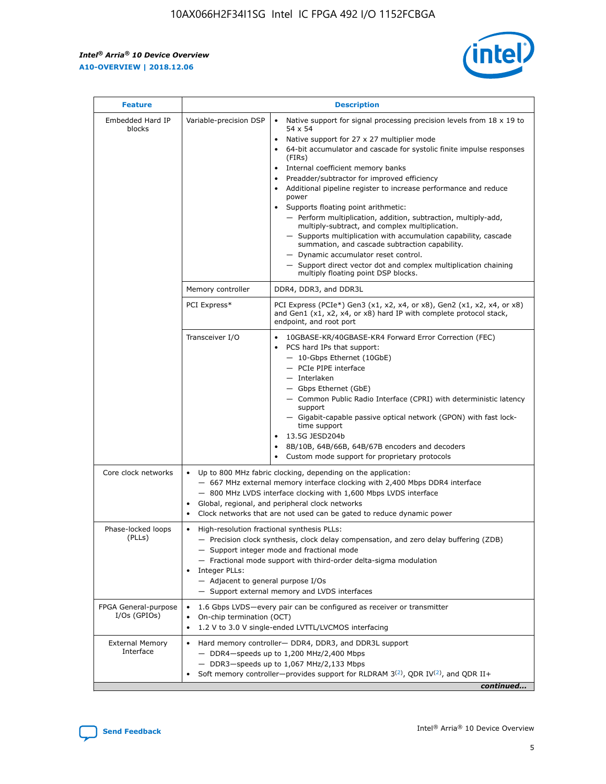r



| <b>Feature</b>                         |                                                                                                                | <b>Description</b>                                                                                                                                                                                                                                                                                                                                                                                                                                                                                                                                                                                                                                                                                                                                                                                                                                               |  |  |  |  |  |  |
|----------------------------------------|----------------------------------------------------------------------------------------------------------------|------------------------------------------------------------------------------------------------------------------------------------------------------------------------------------------------------------------------------------------------------------------------------------------------------------------------------------------------------------------------------------------------------------------------------------------------------------------------------------------------------------------------------------------------------------------------------------------------------------------------------------------------------------------------------------------------------------------------------------------------------------------------------------------------------------------------------------------------------------------|--|--|--|--|--|--|
| Embedded Hard IP<br>blocks             | Variable-precision DSP                                                                                         | Native support for signal processing precision levels from $18 \times 19$ to<br>$\bullet$<br>54 x 54<br>Native support for 27 x 27 multiplier mode<br>$\bullet$<br>64-bit accumulator and cascade for systolic finite impulse responses<br>(FIRs)<br>Internal coefficient memory banks<br>$\bullet$<br>Preadder/subtractor for improved efficiency<br>Additional pipeline register to increase performance and reduce<br>power<br>Supports floating point arithmetic:<br>- Perform multiplication, addition, subtraction, multiply-add,<br>multiply-subtract, and complex multiplication.<br>- Supports multiplication with accumulation capability, cascade<br>summation, and cascade subtraction capability.<br>- Dynamic accumulator reset control.<br>- Support direct vector dot and complex multiplication chaining<br>multiply floating point DSP blocks. |  |  |  |  |  |  |
|                                        | Memory controller                                                                                              | DDR4, DDR3, and DDR3L                                                                                                                                                                                                                                                                                                                                                                                                                                                                                                                                                                                                                                                                                                                                                                                                                                            |  |  |  |  |  |  |
|                                        | PCI Express*                                                                                                   | PCI Express (PCIe*) Gen3 (x1, x2, x4, or x8), Gen2 (x1, x2, x4, or x8)<br>and Gen1 (x1, x2, x4, or x8) hard IP with complete protocol stack,<br>endpoint, and root port                                                                                                                                                                                                                                                                                                                                                                                                                                                                                                                                                                                                                                                                                          |  |  |  |  |  |  |
|                                        | Transceiver I/O                                                                                                | 10GBASE-KR/40GBASE-KR4 Forward Error Correction (FEC)<br>PCS hard IPs that support:<br>- 10-Gbps Ethernet (10GbE)<br>- PCIe PIPE interface<br>- Interlaken<br>- Gbps Ethernet (GbE)<br>- Common Public Radio Interface (CPRI) with deterministic latency<br>support<br>- Gigabit-capable passive optical network (GPON) with fast lock-<br>time support<br>13.5G JESD204b<br>$\bullet$<br>8B/10B, 64B/66B, 64B/67B encoders and decoders<br>Custom mode support for proprietary protocols                                                                                                                                                                                                                                                                                                                                                                        |  |  |  |  |  |  |
| Core clock networks                    | $\bullet$                                                                                                      | Up to 800 MHz fabric clocking, depending on the application:<br>- 667 MHz external memory interface clocking with 2,400 Mbps DDR4 interface<br>- 800 MHz LVDS interface clocking with 1,600 Mbps LVDS interface<br>Global, regional, and peripheral clock networks<br>Clock networks that are not used can be gated to reduce dynamic power                                                                                                                                                                                                                                                                                                                                                                                                                                                                                                                      |  |  |  |  |  |  |
| Phase-locked loops<br>(PLLs)           | High-resolution fractional synthesis PLLs:<br>$\bullet$<br>Integer PLLs:<br>- Adjacent to general purpose I/Os | - Precision clock synthesis, clock delay compensation, and zero delay buffering (ZDB)<br>- Support integer mode and fractional mode<br>- Fractional mode support with third-order delta-sigma modulation<br>- Support external memory and LVDS interfaces                                                                                                                                                                                                                                                                                                                                                                                                                                                                                                                                                                                                        |  |  |  |  |  |  |
| FPGA General-purpose<br>$I/Os$ (GPIOs) | On-chip termination (OCT)<br>٠<br>$\bullet$                                                                    | 1.6 Gbps LVDS-every pair can be configured as receiver or transmitter                                                                                                                                                                                                                                                                                                                                                                                                                                                                                                                                                                                                                                                                                                                                                                                            |  |  |  |  |  |  |
| <b>External Memory</b><br>Interface    | $\bullet$                                                                                                      | 1.2 V to 3.0 V single-ended LVTTL/LVCMOS interfacing<br>Hard memory controller- DDR4, DDR3, and DDR3L support<br>$-$ DDR4-speeds up to 1,200 MHz/2,400 Mbps<br>- DDR3-speeds up to 1,067 MHz/2,133 Mbps<br>Soft memory controller—provides support for RLDRAM $3^{(2)}$ , QDR IV $^{(2)}$ , and QDR II+<br>continued                                                                                                                                                                                                                                                                                                                                                                                                                                                                                                                                             |  |  |  |  |  |  |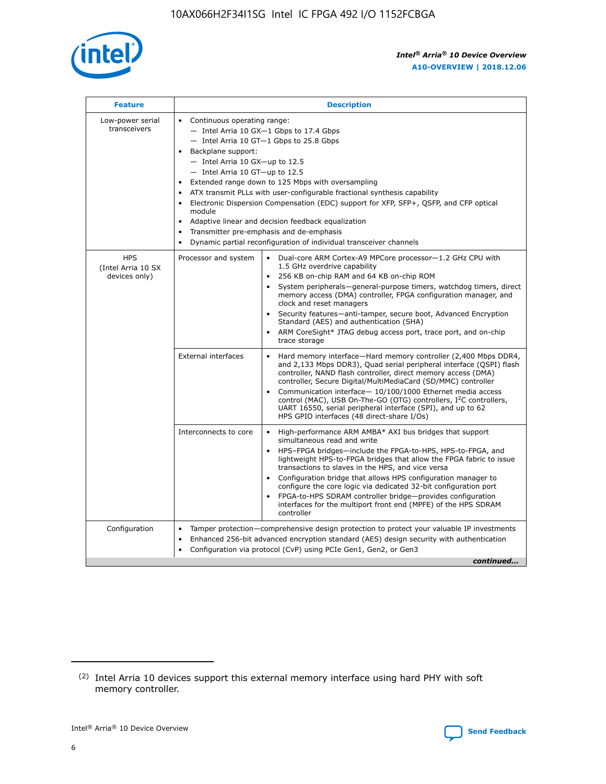

| <b>Feature</b>                                    | <b>Description</b>                                                                                                                                                                                                                                                                                                                                                                                                                                                                                                                                                                                                                             |
|---------------------------------------------------|------------------------------------------------------------------------------------------------------------------------------------------------------------------------------------------------------------------------------------------------------------------------------------------------------------------------------------------------------------------------------------------------------------------------------------------------------------------------------------------------------------------------------------------------------------------------------------------------------------------------------------------------|
| Low-power serial<br>transceivers                  | • Continuous operating range:<br>- Intel Arria 10 GX-1 Gbps to 17.4 Gbps<br>- Intel Arria 10 GT-1 Gbps to 25.8 Gbps<br>Backplane support:<br>$-$ Intel Arria 10 GX-up to 12.5<br>$-$ Intel Arria 10 GT-up to 12.5<br>Extended range down to 125 Mbps with oversampling<br>ATX transmit PLLs with user-configurable fractional synthesis capability<br>• Electronic Dispersion Compensation (EDC) support for XFP, SFP+, QSFP, and CFP optical<br>module<br>• Adaptive linear and decision feedback equalization<br>Transmitter pre-emphasis and de-emphasis<br>$\bullet$<br>Dynamic partial reconfiguration of individual transceiver channels |
| <b>HPS</b><br>(Intel Arria 10 SX<br>devices only) | Processor and system<br>Dual-core ARM Cortex-A9 MPCore processor-1.2 GHz CPU with<br>$\bullet$<br>1.5 GHz overdrive capability<br>256 KB on-chip RAM and 64 KB on-chip ROM<br>$\bullet$<br>System peripherals-general-purpose timers, watchdog timers, direct<br>memory access (DMA) controller, FPGA configuration manager, and<br>clock and reset managers<br>• Security features—anti-tamper, secure boot, Advanced Encryption<br>Standard (AES) and authentication (SHA)<br>ARM CoreSight* JTAG debug access port, trace port, and on-chip<br>trace storage                                                                                |
|                                                   | <b>External interfaces</b><br>Hard memory interface—Hard memory controller (2,400 Mbps DDR4,<br>$\bullet$<br>and 2,133 Mbps DDR3), Quad serial peripheral interface (QSPI) flash<br>controller, NAND flash controller, direct memory access (DMA)<br>controller, Secure Digital/MultiMediaCard (SD/MMC) controller<br>Communication interface-10/100/1000 Ethernet media access<br>control (MAC), USB On-The-GO (OTG) controllers, I <sup>2</sup> C controllers,<br>UART 16550, serial peripheral interface (SPI), and up to 62<br>HPS GPIO interfaces (48 direct-share I/Os)                                                                  |
|                                                   | High-performance ARM AMBA* AXI bus bridges that support<br>Interconnects to core<br>$\bullet$<br>simultaneous read and write<br>HPS-FPGA bridges—include the FPGA-to-HPS, HPS-to-FPGA, and<br>$\bullet$<br>lightweight HPS-to-FPGA bridges that allow the FPGA fabric to issue<br>transactions to slaves in the HPS, and vice versa<br>Configuration bridge that allows HPS configuration manager to<br>configure the core logic via dedicated 32-bit configuration port<br>FPGA-to-HPS SDRAM controller bridge-provides configuration<br>interfaces for the multiport front end (MPFE) of the HPS SDRAM<br>controller                         |
| Configuration                                     | Tamper protection—comprehensive design protection to protect your valuable IP investments<br>Enhanced 256-bit advanced encryption standard (AES) design security with authentication<br>$\bullet$<br>Configuration via protocol (CvP) using PCIe Gen1, Gen2, or Gen3<br>continued                                                                                                                                                                                                                                                                                                                                                              |

<sup>(2)</sup> Intel Arria 10 devices support this external memory interface using hard PHY with soft memory controller.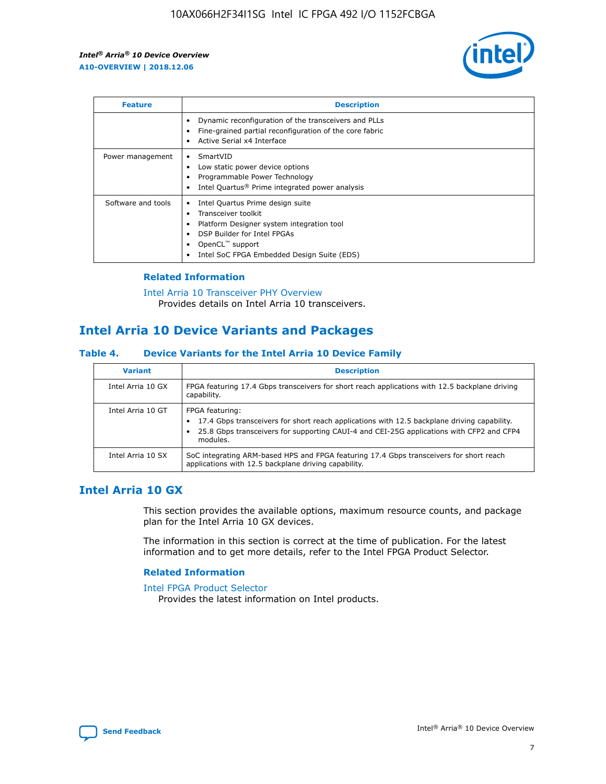

| <b>Feature</b>     | <b>Description</b>                                                                                                                                                                                               |
|--------------------|------------------------------------------------------------------------------------------------------------------------------------------------------------------------------------------------------------------|
|                    | Dynamic reconfiguration of the transceivers and PLLs<br>Fine-grained partial reconfiguration of the core fabric<br>Active Serial x4 Interface<br>$\bullet$                                                       |
| Power management   | SmartVID<br>Low static power device options<br>Programmable Power Technology<br>Intel Quartus <sup>®</sup> Prime integrated power analysis                                                                       |
| Software and tools | Intel Quartus Prime design suite<br>Transceiver toolkit<br>Platform Designer system integration tool<br>DSP Builder for Intel FPGAs<br>OpenCL <sup>™</sup> support<br>Intel SoC FPGA Embedded Design Suite (EDS) |

## **Related Information**

[Intel Arria 10 Transceiver PHY Overview](https://www.intel.com/content/www/us/en/programmable/documentation/nik1398707230472.html#nik1398706768037) Provides details on Intel Arria 10 transceivers.

## **Intel Arria 10 Device Variants and Packages**

#### **Table 4. Device Variants for the Intel Arria 10 Device Family**

| <b>Variant</b>    | <b>Description</b>                                                                                                                                                                                                     |
|-------------------|------------------------------------------------------------------------------------------------------------------------------------------------------------------------------------------------------------------------|
| Intel Arria 10 GX | FPGA featuring 17.4 Gbps transceivers for short reach applications with 12.5 backplane driving<br>capability.                                                                                                          |
| Intel Arria 10 GT | FPGA featuring:<br>17.4 Gbps transceivers for short reach applications with 12.5 backplane driving capability.<br>25.8 Gbps transceivers for supporting CAUI-4 and CEI-25G applications with CFP2 and CFP4<br>modules. |
| Intel Arria 10 SX | SoC integrating ARM-based HPS and FPGA featuring 17.4 Gbps transceivers for short reach<br>applications with 12.5 backplane driving capability.                                                                        |

## **Intel Arria 10 GX**

This section provides the available options, maximum resource counts, and package plan for the Intel Arria 10 GX devices.

The information in this section is correct at the time of publication. For the latest information and to get more details, refer to the Intel FPGA Product Selector.

#### **Related Information**

#### [Intel FPGA Product Selector](http://www.altera.com/products/selector/psg-selector.html) Provides the latest information on Intel products.

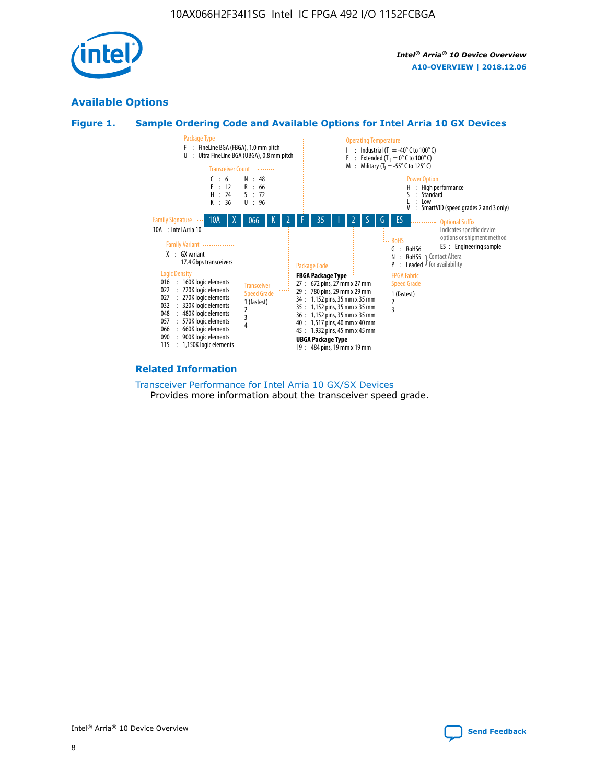

## **Available Options**





#### **Related Information**

[Transceiver Performance for Intel Arria 10 GX/SX Devices](https://www.intel.com/content/www/us/en/programmable/documentation/mcn1413182292568.html#mcn1413213965502) Provides more information about the transceiver speed grade.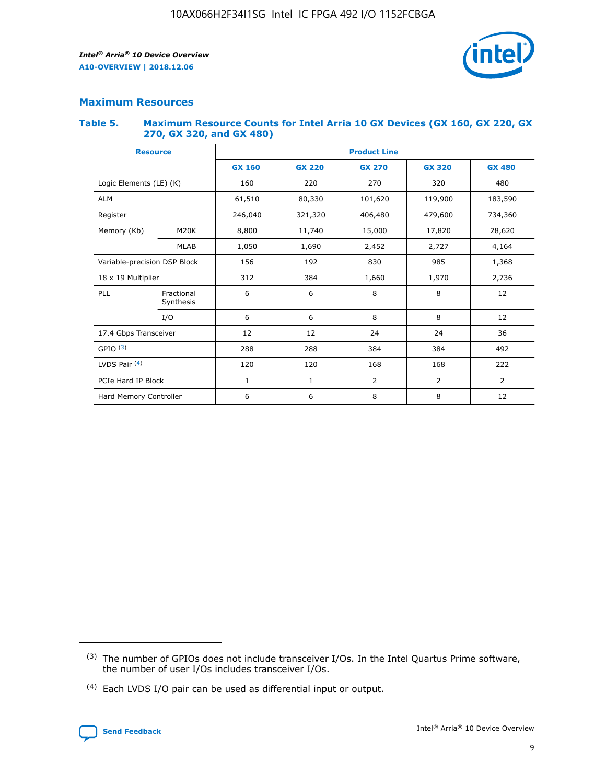

## **Maximum Resources**

#### **Table 5. Maximum Resource Counts for Intel Arria 10 GX Devices (GX 160, GX 220, GX 270, GX 320, and GX 480)**

| <b>Resource</b>         |                              | <b>Product Line</b> |                                |                |                    |                |  |  |  |
|-------------------------|------------------------------|---------------------|--------------------------------|----------------|--------------------|----------------|--|--|--|
|                         |                              | <b>GX 160</b>       | <b>GX 220</b><br><b>GX 270</b> |                | <b>GX 320</b>      | <b>GX 480</b>  |  |  |  |
| Logic Elements (LE) (K) |                              | 160                 | 220                            | 270            | 320                | 480            |  |  |  |
| <b>ALM</b>              |                              | 61,510              | 80,330                         | 101,620        | 119,900<br>183,590 |                |  |  |  |
| Register                |                              | 246,040             | 321,320                        | 406,480        | 479,600            | 734,360        |  |  |  |
| Memory (Kb)             | M <sub>20</sub> K            | 8,800               | 11,740                         | 15,000         | 17,820             | 28,620         |  |  |  |
|                         | <b>MLAB</b>                  | 1,050               | 1,690                          | 2,452          | 2,727              | 4,164          |  |  |  |
|                         | Variable-precision DSP Block |                     | 192                            | 830<br>985     |                    | 1,368          |  |  |  |
| 18 x 19 Multiplier      |                              | 312                 | 384                            | 1,970<br>1,660 |                    | 2,736          |  |  |  |
| PLL                     | Fractional<br>Synthesis      | 6                   | 6                              | 8              | 8                  | 12             |  |  |  |
|                         | I/O                          | 6                   | 6                              | 8              | 8                  | 12             |  |  |  |
| 17.4 Gbps Transceiver   |                              | 12                  | 12                             | 24             | 24                 | 36             |  |  |  |
| GPIO <sup>(3)</sup>     |                              | 288                 | 288                            | 384<br>384     |                    | 492            |  |  |  |
| LVDS Pair $(4)$         |                              | 120                 | 120                            | 168            | 168                | 222            |  |  |  |
| PCIe Hard IP Block      |                              | $\mathbf{1}$        | 1                              | $\overline{2}$ | $\overline{2}$     | $\overline{2}$ |  |  |  |
| Hard Memory Controller  |                              | 6                   | 6                              | 8              | 8                  | 12             |  |  |  |

<sup>(4)</sup> Each LVDS I/O pair can be used as differential input or output.



<sup>(3)</sup> The number of GPIOs does not include transceiver I/Os. In the Intel Quartus Prime software, the number of user I/Os includes transceiver I/Os.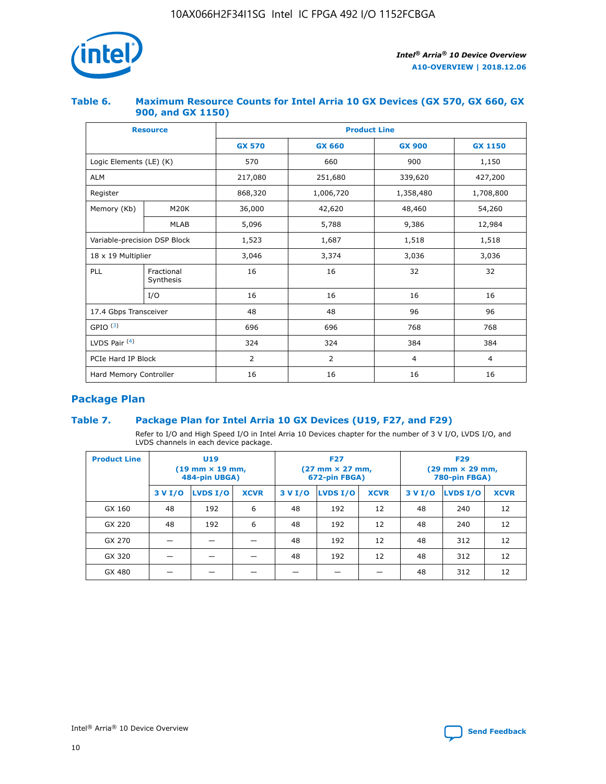

## **Table 6. Maximum Resource Counts for Intel Arria 10 GX Devices (GX 570, GX 660, GX 900, and GX 1150)**

|                              | <b>Resource</b>         | <b>Product Line</b> |                |                  |                |  |  |  |
|------------------------------|-------------------------|---------------------|----------------|------------------|----------------|--|--|--|
|                              |                         | <b>GX 570</b>       | <b>GX 660</b>  | <b>GX 900</b>    | <b>GX 1150</b> |  |  |  |
| Logic Elements (LE) (K)      |                         | 570                 | 660            | 900              | 1,150          |  |  |  |
| <b>ALM</b>                   |                         | 217,080             | 251,680        | 339,620          | 427,200        |  |  |  |
| Register                     |                         | 868,320             | 1,006,720      | 1,358,480        | 1,708,800      |  |  |  |
| Memory (Kb)                  | <b>M20K</b>             | 36,000              | 42,620         | 48,460<br>54,260 |                |  |  |  |
|                              | <b>MLAB</b>             | 5,096               | 5,788<br>9,386 |                  | 12,984         |  |  |  |
| Variable-precision DSP Block |                         | 1,523               | 1,687          | 1,518            | 1,518          |  |  |  |
|                              | 18 x 19 Multiplier      |                     | 3,374          | 3,036            | 3,036          |  |  |  |
| PLL                          | Fractional<br>Synthesis | 16                  | 16             | 32               | 32             |  |  |  |
|                              | I/O                     | 16                  | 16             | 16               | 16             |  |  |  |
| 17.4 Gbps Transceiver        |                         | 48                  | 48             |                  | 96             |  |  |  |
| GPIO <sup>(3)</sup>          |                         | 696                 | 696            | 768              | 768            |  |  |  |
| LVDS Pair $(4)$              |                         | 324                 | 324<br>384     |                  | 384            |  |  |  |
| PCIe Hard IP Block           |                         | 2                   | $\overline{2}$ | $\overline{4}$   | $\overline{4}$ |  |  |  |
| Hard Memory Controller       |                         | 16                  | 16             | 16               | 16             |  |  |  |

## **Package Plan**

## **Table 7. Package Plan for Intel Arria 10 GX Devices (U19, F27, and F29)**

Refer to I/O and High Speed I/O in Intel Arria 10 Devices chapter for the number of 3 V I/O, LVDS I/O, and LVDS channels in each device package.

| <b>Product Line</b> | <b>U19</b><br>$(19 \text{ mm} \times 19 \text{ mm})$<br>484-pin UBGA) |          |             |         | <b>F27</b><br>(27 mm × 27 mm,<br>672-pin FBGA) |             | <b>F29</b><br>(29 mm × 29 mm,<br>780-pin FBGA) |          |             |  |
|---------------------|-----------------------------------------------------------------------|----------|-------------|---------|------------------------------------------------|-------------|------------------------------------------------|----------|-------------|--|
|                     | 3 V I/O                                                               | LVDS I/O | <b>XCVR</b> | 3 V I/O | LVDS I/O                                       | <b>XCVR</b> | 3 V I/O                                        | LVDS I/O | <b>XCVR</b> |  |
| GX 160              | 48                                                                    | 192      | 6           | 48      | 192                                            | 12          | 48                                             | 240      | 12          |  |
| GX 220              | 48                                                                    | 192      | 6           | 48      | 192                                            | 12          | 48                                             | 240      | 12          |  |
| GX 270              |                                                                       |          |             | 48      | 192                                            | 12          | 48                                             | 312      | 12          |  |
| GX 320              |                                                                       |          |             | 48      | 192                                            | 12          | 48                                             | 312      | 12          |  |
| GX 480              |                                                                       |          |             |         |                                                |             | 48                                             | 312      | 12          |  |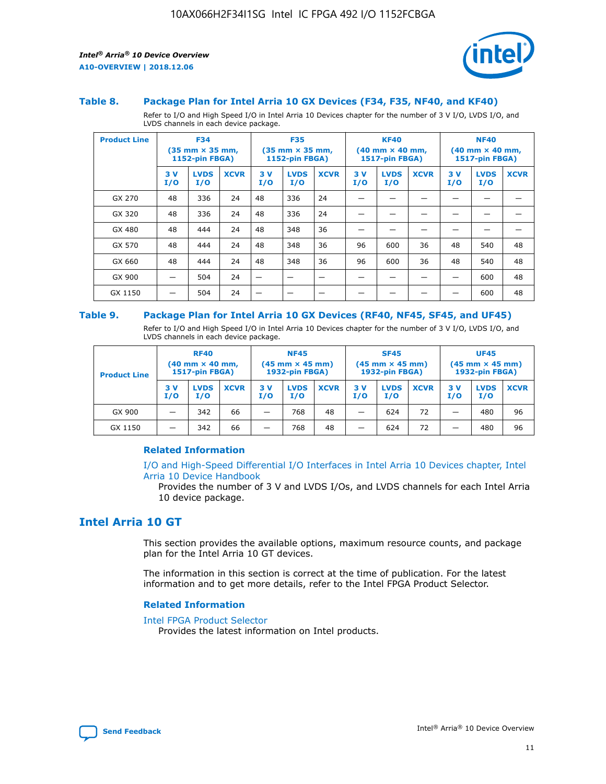



#### **Table 8. Package Plan for Intel Arria 10 GX Devices (F34, F35, NF40, and KF40)**

Refer to I/O and High Speed I/O in Intel Arria 10 Devices chapter for the number of 3 V I/O, LVDS I/O, and LVDS channels in each device package.

| <b>Product Line</b> | <b>F34</b><br>$(35 \text{ mm} \times 35 \text{ mm})$<br><b>1152-pin FBGA)</b> |                    | <b>F35</b><br>$(35 \text{ mm} \times 35 \text{ mm})$<br><b>1152-pin FBGA)</b> |           | <b>KF40</b><br>$(40$ mm $\times$ 40 mm,<br>1517-pin FBGA) |             |           | <b>NF40</b><br>$(40 \text{ mm} \times 40 \text{ mm})$<br>1517-pin FBGA) |             |           |                    |             |
|---------------------|-------------------------------------------------------------------------------|--------------------|-------------------------------------------------------------------------------|-----------|-----------------------------------------------------------|-------------|-----------|-------------------------------------------------------------------------|-------------|-----------|--------------------|-------------|
|                     | 3V<br>I/O                                                                     | <b>LVDS</b><br>I/O | <b>XCVR</b>                                                                   | 3V<br>I/O | <b>LVDS</b><br>I/O                                        | <b>XCVR</b> | 3V<br>I/O | <b>LVDS</b><br>I/O                                                      | <b>XCVR</b> | 3V<br>I/O | <b>LVDS</b><br>I/O | <b>XCVR</b> |
| GX 270              | 48                                                                            | 336                | 24                                                                            | 48        | 336                                                       | 24          |           |                                                                         |             |           |                    |             |
| GX 320              | 48                                                                            | 336                | 24                                                                            | 48        | 336                                                       | 24          |           |                                                                         |             |           |                    |             |
| GX 480              | 48                                                                            | 444                | 24                                                                            | 48        | 348                                                       | 36          |           |                                                                         |             |           |                    |             |
| GX 570              | 48                                                                            | 444                | 24                                                                            | 48        | 348                                                       | 36          | 96        | 600                                                                     | 36          | 48        | 540                | 48          |
| GX 660              | 48                                                                            | 444                | 24                                                                            | 48        | 348                                                       | 36          | 96        | 600                                                                     | 36          | 48        | 540                | 48          |
| GX 900              |                                                                               | 504                | 24                                                                            | –         |                                                           | -           |           |                                                                         |             |           | 600                | 48          |
| GX 1150             |                                                                               | 504                | 24                                                                            |           |                                                           |             |           |                                                                         |             |           | 600                | 48          |

#### **Table 9. Package Plan for Intel Arria 10 GX Devices (RF40, NF45, SF45, and UF45)**

Refer to I/O and High Speed I/O in Intel Arria 10 Devices chapter for the number of 3 V I/O, LVDS I/O, and LVDS channels in each device package.

| <b>Product Line</b> | <b>RF40</b><br>$(40$ mm $\times$ 40 mm,<br>1517-pin FBGA) |                    | <b>NF45</b><br>$(45 \text{ mm} \times 45 \text{ mm})$<br><b>1932-pin FBGA)</b> |            |                    | <b>SF45</b><br>$(45 \text{ mm} \times 45 \text{ mm})$<br><b>1932-pin FBGA)</b> |            |                    | <b>UF45</b><br>$(45 \text{ mm} \times 45 \text{ mm})$<br><b>1932-pin FBGA)</b> |           |                    |             |
|---------------------|-----------------------------------------------------------|--------------------|--------------------------------------------------------------------------------|------------|--------------------|--------------------------------------------------------------------------------|------------|--------------------|--------------------------------------------------------------------------------|-----------|--------------------|-------------|
|                     | 3V<br>I/O                                                 | <b>LVDS</b><br>I/O | <b>XCVR</b>                                                                    | 3 V<br>I/O | <b>LVDS</b><br>I/O | <b>XCVR</b>                                                                    | 3 V<br>I/O | <b>LVDS</b><br>I/O | <b>XCVR</b>                                                                    | 3V<br>I/O | <b>LVDS</b><br>I/O | <b>XCVR</b> |
| GX 900              |                                                           | 342                | 66                                                                             | _          | 768                | 48                                                                             |            | 624                | 72                                                                             |           | 480                | 96          |
| GX 1150             |                                                           | 342                | 66                                                                             | _          | 768                | 48                                                                             |            | 624                | 72                                                                             |           | 480                | 96          |

#### **Related Information**

[I/O and High-Speed Differential I/O Interfaces in Intel Arria 10 Devices chapter, Intel](https://www.intel.com/content/www/us/en/programmable/documentation/sam1403482614086.html#sam1403482030321) [Arria 10 Device Handbook](https://www.intel.com/content/www/us/en/programmable/documentation/sam1403482614086.html#sam1403482030321)

Provides the number of 3 V and LVDS I/Os, and LVDS channels for each Intel Arria 10 device package.

## **Intel Arria 10 GT**

This section provides the available options, maximum resource counts, and package plan for the Intel Arria 10 GT devices.

The information in this section is correct at the time of publication. For the latest information and to get more details, refer to the Intel FPGA Product Selector.

#### **Related Information**

#### [Intel FPGA Product Selector](http://www.altera.com/products/selector/psg-selector.html)

Provides the latest information on Intel products.

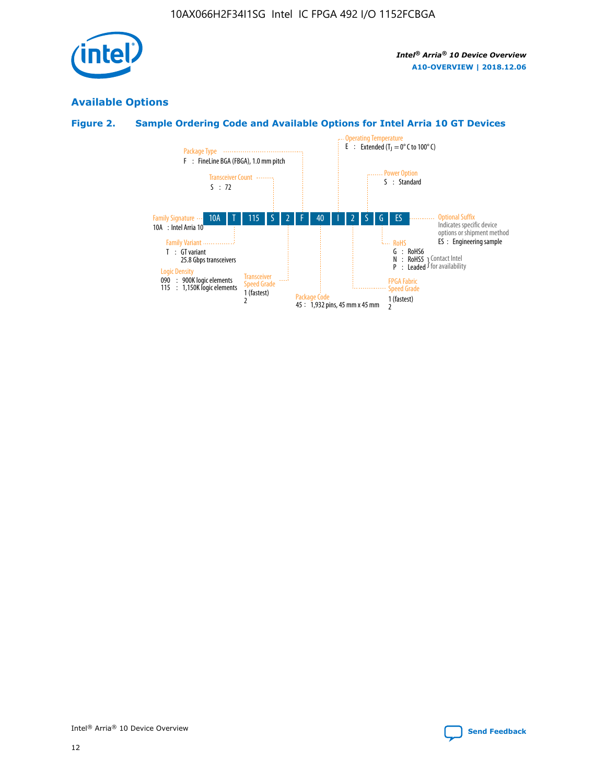

## **Available Options**

## **Figure 2. Sample Ordering Code and Available Options for Intel Arria 10 GT Devices**

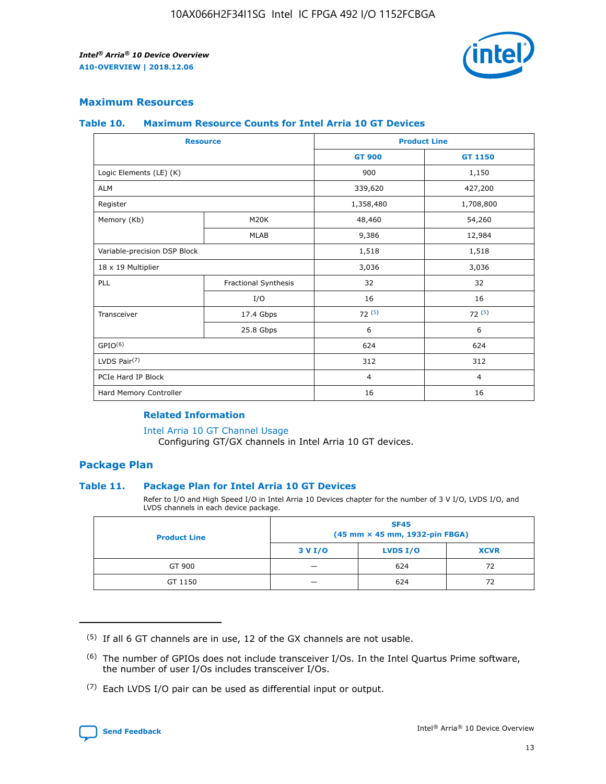

## **Maximum Resources**

#### **Table 10. Maximum Resource Counts for Intel Arria 10 GT Devices**

| <b>Resource</b>              |                      |                | <b>Product Line</b> |  |
|------------------------------|----------------------|----------------|---------------------|--|
|                              |                      | <b>GT 900</b>  | GT 1150             |  |
| Logic Elements (LE) (K)      |                      | 900            | 1,150               |  |
| <b>ALM</b>                   |                      | 339,620        | 427,200             |  |
| Register                     |                      | 1,358,480      | 1,708,800           |  |
| Memory (Kb)                  | M20K                 | 48,460         | 54,260              |  |
|                              | <b>MLAB</b>          | 9,386          | 12,984              |  |
| Variable-precision DSP Block |                      | 1,518          | 1,518               |  |
| 18 x 19 Multiplier           |                      | 3,036          | 3,036               |  |
| <b>PLL</b>                   | Fractional Synthesis | 32             | 32                  |  |
|                              | I/O                  | 16             | 16                  |  |
| Transceiver                  | 17.4 Gbps            | 72(5)          | 72(5)               |  |
|                              | 25.8 Gbps            | 6              | 6                   |  |
| GPIO <sup>(6)</sup>          |                      | 624            | 624                 |  |
| LVDS Pair $(7)$              |                      | 312            | 312                 |  |
| PCIe Hard IP Block           |                      | $\overline{4}$ | $\overline{4}$      |  |
| Hard Memory Controller       |                      | 16             | 16                  |  |

#### **Related Information**

#### [Intel Arria 10 GT Channel Usage](https://www.intel.com/content/www/us/en/programmable/documentation/nik1398707230472.html#nik1398707008178)

Configuring GT/GX channels in Intel Arria 10 GT devices.

## **Package Plan**

#### **Table 11. Package Plan for Intel Arria 10 GT Devices**

Refer to I/O and High Speed I/O in Intel Arria 10 Devices chapter for the number of 3 V I/O, LVDS I/O, and LVDS channels in each device package.

| <b>Product Line</b> | <b>SF45</b><br>(45 mm × 45 mm, 1932-pin FBGA) |                 |             |  |  |  |
|---------------------|-----------------------------------------------|-----------------|-------------|--|--|--|
|                     | 3 V I/O                                       | <b>LVDS I/O</b> | <b>XCVR</b> |  |  |  |
| GT 900              |                                               | 624             | 72          |  |  |  |
| GT 1150             |                                               | 624             | 72          |  |  |  |

<sup>(7)</sup> Each LVDS I/O pair can be used as differential input or output.



 $(5)$  If all 6 GT channels are in use, 12 of the GX channels are not usable.

<sup>(6)</sup> The number of GPIOs does not include transceiver I/Os. In the Intel Quartus Prime software, the number of user I/Os includes transceiver I/Os.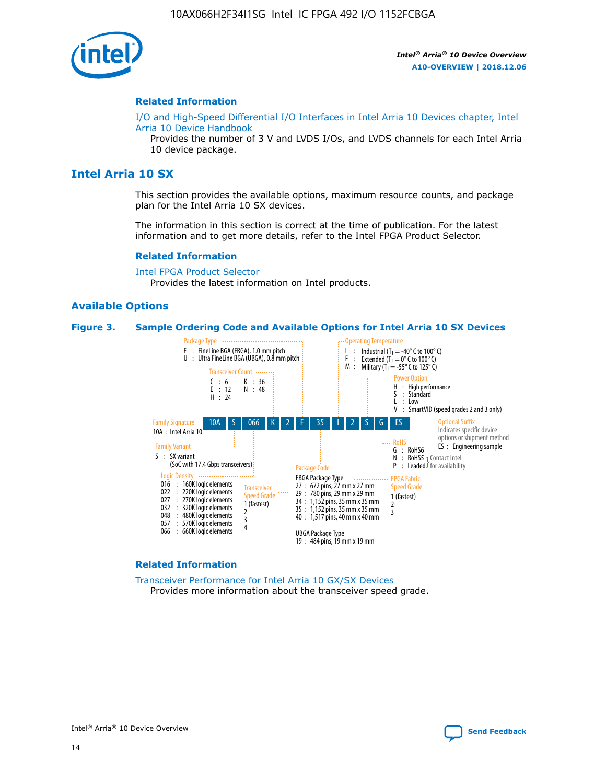

#### **Related Information**

[I/O and High-Speed Differential I/O Interfaces in Intel Arria 10 Devices chapter, Intel](https://www.intel.com/content/www/us/en/programmable/documentation/sam1403482614086.html#sam1403482030321) [Arria 10 Device Handbook](https://www.intel.com/content/www/us/en/programmable/documentation/sam1403482614086.html#sam1403482030321)

Provides the number of 3 V and LVDS I/Os, and LVDS channels for each Intel Arria 10 device package.

## **Intel Arria 10 SX**

This section provides the available options, maximum resource counts, and package plan for the Intel Arria 10 SX devices.

The information in this section is correct at the time of publication. For the latest information and to get more details, refer to the Intel FPGA Product Selector.

#### **Related Information**

[Intel FPGA Product Selector](http://www.altera.com/products/selector/psg-selector.html) Provides the latest information on Intel products.

#### **Available Options**

#### **Figure 3. Sample Ordering Code and Available Options for Intel Arria 10 SX Devices**



#### **Related Information**

[Transceiver Performance for Intel Arria 10 GX/SX Devices](https://www.intel.com/content/www/us/en/programmable/documentation/mcn1413182292568.html#mcn1413213965502) Provides more information about the transceiver speed grade.

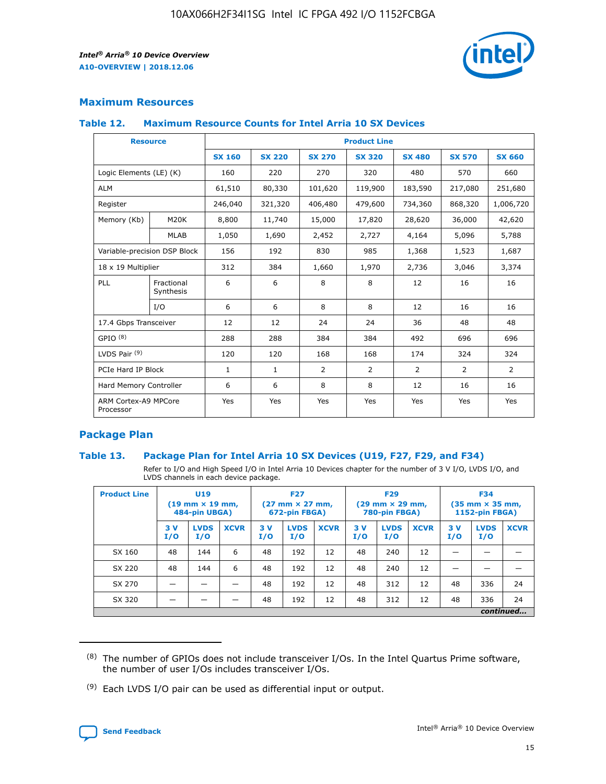

## **Maximum Resources**

#### **Table 12. Maximum Resource Counts for Intel Arria 10 SX Devices**

| <b>Resource</b>                   |                         | <b>Product Line</b> |               |                |                |               |                |               |  |  |  |
|-----------------------------------|-------------------------|---------------------|---------------|----------------|----------------|---------------|----------------|---------------|--|--|--|
|                                   |                         | <b>SX 160</b>       | <b>SX 220</b> | <b>SX 270</b>  | <b>SX 320</b>  | <b>SX 480</b> | <b>SX 570</b>  | <b>SX 660</b> |  |  |  |
| Logic Elements (LE) (K)           |                         | 160                 | 220           | 270            | 320            | 480           | 570            | 660           |  |  |  |
| <b>ALM</b>                        |                         | 61,510              | 80,330        | 101,620        | 119,900        | 183,590       | 217,080        | 251,680       |  |  |  |
| Register                          |                         | 246,040             | 321,320       | 406,480        | 479,600        | 734,360       | 868,320        | 1,006,720     |  |  |  |
| Memory (Kb)                       | M <sub>20</sub> K       | 8,800               | 11,740        | 15,000         | 17,820         | 28,620        | 36,000         | 42,620        |  |  |  |
|                                   | <b>MLAB</b>             | 1,050               | 1,690         | 2,452          | 2,727          | 4,164         | 5,096          | 5,788         |  |  |  |
| Variable-precision DSP Block      |                         | 156                 | 192           | 830            | 985            | 1,368         | 1,523          | 1,687         |  |  |  |
|                                   | 18 x 19 Multiplier      |                     | 384           | 1,660          | 1,970          | 2,736         | 3,046          | 3,374         |  |  |  |
| PLL                               | Fractional<br>Synthesis | 6                   | 6             | 8              | 8              | 12            | 16             | 16            |  |  |  |
|                                   | I/O                     | 6                   | 6             | 8              | 8              | 12            | 16             | 16            |  |  |  |
| 17.4 Gbps Transceiver             |                         | 12                  | 12            | 24             | 24             | 36            | 48             | 48            |  |  |  |
| GPIO <sup>(8)</sup>               |                         | 288                 | 288           | 384            | 384            | 492           | 696            | 696           |  |  |  |
| LVDS Pair $(9)$                   |                         | 120                 | 120           | 168            | 168            | 174           | 324            | 324           |  |  |  |
| PCIe Hard IP Block                |                         | $\mathbf{1}$        | 1             | $\overline{2}$ | $\overline{2}$ | 2             | $\overline{2}$ | 2             |  |  |  |
| Hard Memory Controller            |                         | 6                   | 6             | 8              | 8              | 12            | 16             | 16            |  |  |  |
| ARM Cortex-A9 MPCore<br>Processor |                         | Yes                 | Yes           | Yes            | Yes            | Yes           | Yes            | Yes           |  |  |  |

## **Package Plan**

#### **Table 13. Package Plan for Intel Arria 10 SX Devices (U19, F27, F29, and F34)**

Refer to I/O and High Speed I/O in Intel Arria 10 Devices chapter for the number of 3 V I/O, LVDS I/O, and LVDS channels in each device package.

| <b>Product Line</b> | U19<br>$(19 \text{ mm} \times 19 \text{ mm})$<br>484-pin UBGA) |                    | <b>F27</b><br>$(27 \text{ mm} \times 27 \text{ mm})$<br>672-pin FBGA) |           | <b>F29</b><br>$(29 \text{ mm} \times 29 \text{ mm})$<br>780-pin FBGA) |             |            | <b>F34</b><br>$(35 \text{ mm} \times 35 \text{ mm})$<br><b>1152-pin FBGA)</b> |             |           |                    |             |
|---------------------|----------------------------------------------------------------|--------------------|-----------------------------------------------------------------------|-----------|-----------------------------------------------------------------------|-------------|------------|-------------------------------------------------------------------------------|-------------|-----------|--------------------|-------------|
|                     | 3V<br>I/O                                                      | <b>LVDS</b><br>I/O | <b>XCVR</b>                                                           | 3V<br>I/O | <b>LVDS</b><br>I/O                                                    | <b>XCVR</b> | 3 V<br>I/O | <b>LVDS</b><br>I/O                                                            | <b>XCVR</b> | 3V<br>I/O | <b>LVDS</b><br>I/O | <b>XCVR</b> |
| SX 160              | 48                                                             | 144                | 6                                                                     | 48        | 192                                                                   | 12          | 48         | 240                                                                           | 12          | –         |                    |             |
| SX 220              | 48                                                             | 144                | 6                                                                     | 48        | 192                                                                   | 12          | 48         | 240                                                                           | 12          |           |                    |             |
| SX 270              |                                                                |                    |                                                                       | 48        | 192                                                                   | 12          | 48         | 312                                                                           | 12          | 48        | 336                | 24          |
| SX 320              |                                                                |                    |                                                                       | 48        | 192                                                                   | 12          | 48         | 312                                                                           | 12          | 48        | 336                | 24          |
|                     | continued                                                      |                    |                                                                       |           |                                                                       |             |            |                                                                               |             |           |                    |             |

 $(8)$  The number of GPIOs does not include transceiver I/Os. In the Intel Quartus Prime software, the number of user I/Os includes transceiver I/Os.

 $(9)$  Each LVDS I/O pair can be used as differential input or output.

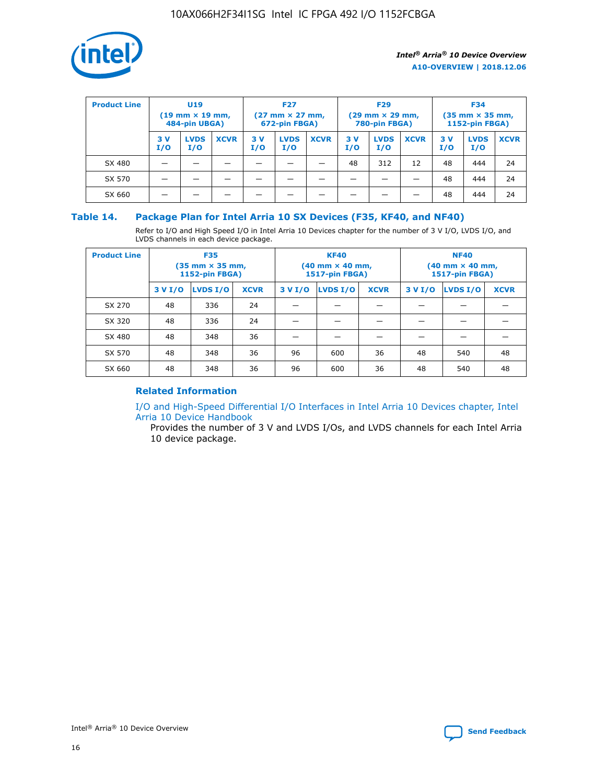

| <b>Product Line</b> | U <sub>19</sub><br>$(19 \text{ mm} \times 19 \text{ mm})$<br>484-pin UBGA) |                    | <b>F27</b><br>$(27 \text{ mm} \times 27 \text{ mm})$<br>672-pin FBGA) |           | <b>F29</b><br>$(29 \text{ mm} \times 29 \text{ mm})$<br>780-pin FBGA) |             |           | <b>F34</b><br>$(35 \text{ mm} \times 35 \text{ mm})$<br><b>1152-pin FBGA)</b> |             |           |                    |             |
|---------------------|----------------------------------------------------------------------------|--------------------|-----------------------------------------------------------------------|-----------|-----------------------------------------------------------------------|-------------|-----------|-------------------------------------------------------------------------------|-------------|-----------|--------------------|-------------|
|                     | 3 V<br>I/O                                                                 | <b>LVDS</b><br>I/O | <b>XCVR</b>                                                           | 3V<br>I/O | <b>LVDS</b><br>I/O                                                    | <b>XCVR</b> | 3V<br>I/O | <b>LVDS</b><br>I/O                                                            | <b>XCVR</b> | 3V<br>I/O | <b>LVDS</b><br>I/O | <b>XCVR</b> |
| SX 480              |                                                                            |                    |                                                                       |           |                                                                       |             | 48        | 312                                                                           | 12          | 48        | 444                | 24          |
| SX 570              |                                                                            |                    |                                                                       |           |                                                                       |             |           |                                                                               |             | 48        | 444                | 24          |
| SX 660              |                                                                            |                    |                                                                       |           |                                                                       |             |           |                                                                               |             | 48        | 444                | 24          |

## **Table 14. Package Plan for Intel Arria 10 SX Devices (F35, KF40, and NF40)**

Refer to I/O and High Speed I/O in Intel Arria 10 Devices chapter for the number of 3 V I/O, LVDS I/O, and LVDS channels in each device package.

| <b>Product Line</b> | <b>F35</b><br>$(35 \text{ mm} \times 35 \text{ mm})$<br><b>1152-pin FBGA)</b> |          |             |                                           | <b>KF40</b><br>(40 mm × 40 mm,<br>1517-pin FBGA) |    | <b>NF40</b><br>$(40 \text{ mm} \times 40 \text{ mm})$<br>1517-pin FBGA) |          |             |  |
|---------------------|-------------------------------------------------------------------------------|----------|-------------|-------------------------------------------|--------------------------------------------------|----|-------------------------------------------------------------------------|----------|-------------|--|
|                     | 3 V I/O                                                                       | LVDS I/O | <b>XCVR</b> | <b>LVDS I/O</b><br><b>XCVR</b><br>3 V I/O |                                                  |    | 3 V I/O                                                                 | LVDS I/O | <b>XCVR</b> |  |
| SX 270              | 48                                                                            | 336      | 24          |                                           |                                                  |    |                                                                         |          |             |  |
| SX 320              | 48                                                                            | 336      | 24          |                                           |                                                  |    |                                                                         |          |             |  |
| SX 480              | 48                                                                            | 348      | 36          |                                           |                                                  |    |                                                                         |          |             |  |
| SX 570              | 48                                                                            | 348      | 36          | 96                                        | 600                                              | 36 | 48                                                                      | 540      | 48          |  |
| SX 660              | 48                                                                            | 348      | 36          | 96                                        | 600                                              | 36 | 48                                                                      | 540      | 48          |  |

## **Related Information**

[I/O and High-Speed Differential I/O Interfaces in Intel Arria 10 Devices chapter, Intel](https://www.intel.com/content/www/us/en/programmable/documentation/sam1403482614086.html#sam1403482030321) [Arria 10 Device Handbook](https://www.intel.com/content/www/us/en/programmable/documentation/sam1403482614086.html#sam1403482030321)

Provides the number of 3 V and LVDS I/Os, and LVDS channels for each Intel Arria 10 device package.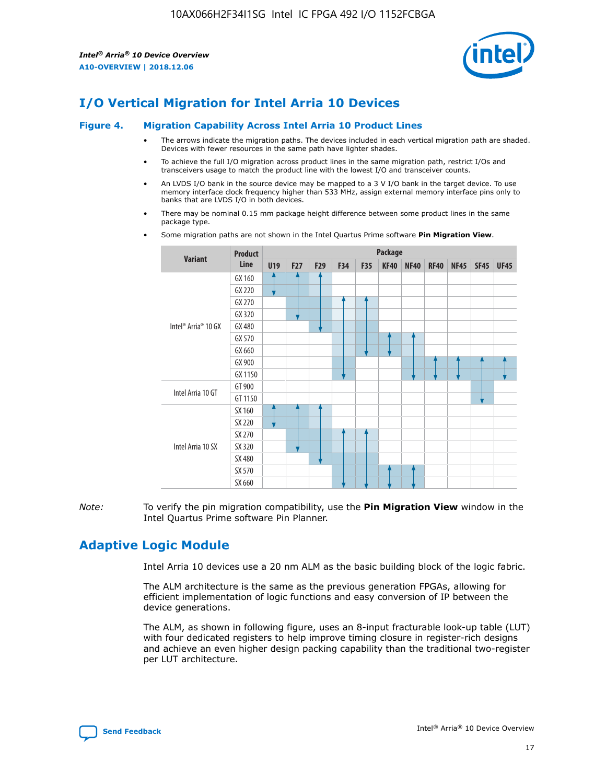

## **I/O Vertical Migration for Intel Arria 10 Devices**

#### **Figure 4. Migration Capability Across Intel Arria 10 Product Lines**

- The arrows indicate the migration paths. The devices included in each vertical migration path are shaded. Devices with fewer resources in the same path have lighter shades.
- To achieve the full I/O migration across product lines in the same migration path, restrict I/Os and transceivers usage to match the product line with the lowest I/O and transceiver counts.
- An LVDS I/O bank in the source device may be mapped to a 3 V I/O bank in the target device. To use memory interface clock frequency higher than 533 MHz, assign external memory interface pins only to banks that are LVDS I/O in both devices.
- There may be nominal 0.15 mm package height difference between some product lines in the same package type.
	- **Variant Product Line Package U19 F27 F29 F34 F35 KF40 NF40 RF40 NF45 SF45 UF45** Intel® Arria® 10 GX GX 160 GX 220 GX 270 GX 320 GX 480 GX 570 GX 660 GX 900 GX 1150 Intel Arria 10 GT GT 900 GT 1150 Intel Arria 10 SX SX 160 SX 220 SX 270 SX 320 SX 480 SX 570 SX 660
- Some migration paths are not shown in the Intel Quartus Prime software **Pin Migration View**.

*Note:* To verify the pin migration compatibility, use the **Pin Migration View** window in the Intel Quartus Prime software Pin Planner.

## **Adaptive Logic Module**

Intel Arria 10 devices use a 20 nm ALM as the basic building block of the logic fabric.

The ALM architecture is the same as the previous generation FPGAs, allowing for efficient implementation of logic functions and easy conversion of IP between the device generations.

The ALM, as shown in following figure, uses an 8-input fracturable look-up table (LUT) with four dedicated registers to help improve timing closure in register-rich designs and achieve an even higher design packing capability than the traditional two-register per LUT architecture.

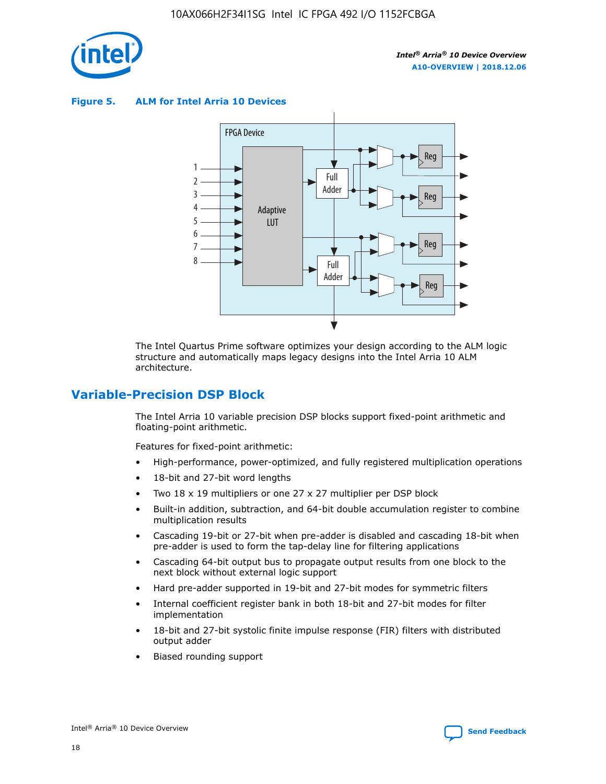

**Figure 5. ALM for Intel Arria 10 Devices**



The Intel Quartus Prime software optimizes your design according to the ALM logic structure and automatically maps legacy designs into the Intel Arria 10 ALM architecture.

## **Variable-Precision DSP Block**

The Intel Arria 10 variable precision DSP blocks support fixed-point arithmetic and floating-point arithmetic.

Features for fixed-point arithmetic:

- High-performance, power-optimized, and fully registered multiplication operations
- 18-bit and 27-bit word lengths
- Two 18 x 19 multipliers or one 27 x 27 multiplier per DSP block
- Built-in addition, subtraction, and 64-bit double accumulation register to combine multiplication results
- Cascading 19-bit or 27-bit when pre-adder is disabled and cascading 18-bit when pre-adder is used to form the tap-delay line for filtering applications
- Cascading 64-bit output bus to propagate output results from one block to the next block without external logic support
- Hard pre-adder supported in 19-bit and 27-bit modes for symmetric filters
- Internal coefficient register bank in both 18-bit and 27-bit modes for filter implementation
- 18-bit and 27-bit systolic finite impulse response (FIR) filters with distributed output adder
- Biased rounding support

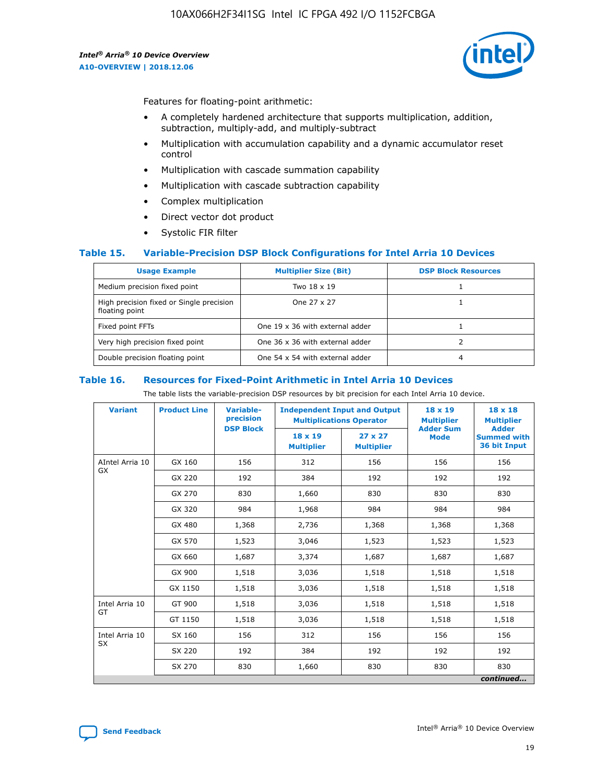

Features for floating-point arithmetic:

- A completely hardened architecture that supports multiplication, addition, subtraction, multiply-add, and multiply-subtract
- Multiplication with accumulation capability and a dynamic accumulator reset control
- Multiplication with cascade summation capability
- Multiplication with cascade subtraction capability
- Complex multiplication
- Direct vector dot product
- Systolic FIR filter

#### **Table 15. Variable-Precision DSP Block Configurations for Intel Arria 10 Devices**

| <b>Usage Example</b>                                       | <b>Multiplier Size (Bit)</b>    | <b>DSP Block Resources</b> |
|------------------------------------------------------------|---------------------------------|----------------------------|
| Medium precision fixed point                               | Two 18 x 19                     |                            |
| High precision fixed or Single precision<br>floating point | One 27 x 27                     |                            |
| Fixed point FFTs                                           | One 19 x 36 with external adder |                            |
| Very high precision fixed point                            | One 36 x 36 with external adder |                            |
| Double precision floating point                            | One 54 x 54 with external adder | 4                          |

#### **Table 16. Resources for Fixed-Point Arithmetic in Intel Arria 10 Devices**

The table lists the variable-precision DSP resources by bit precision for each Intel Arria 10 device.

| <b>Variant</b>  | <b>Product Line</b> | <b>Variable-</b><br>precision<br><b>DSP Block</b> | <b>Independent Input and Output</b><br><b>Multiplications Operator</b> |                                     | 18 x 19<br><b>Multiplier</b><br><b>Adder Sum</b> | $18 \times 18$<br><b>Multiplier</b><br><b>Adder</b> |
|-----------------|---------------------|---------------------------------------------------|------------------------------------------------------------------------|-------------------------------------|--------------------------------------------------|-----------------------------------------------------|
|                 |                     |                                                   | 18 x 19<br><b>Multiplier</b>                                           | $27 \times 27$<br><b>Multiplier</b> | <b>Mode</b>                                      | <b>Summed with</b><br>36 bit Input                  |
| AIntel Arria 10 | GX 160              | 156                                               | 312                                                                    | 156                                 | 156                                              | 156                                                 |
| GX              | GX 220              | 192                                               | 384                                                                    | 192                                 | 192                                              | 192                                                 |
|                 | GX 270              | 830                                               | 1,660                                                                  | 830                                 | 830                                              | 830                                                 |
|                 | GX 320              | 984                                               | 1,968                                                                  | 984                                 | 984                                              | 984                                                 |
|                 | GX 480              | 1,368                                             | 2,736                                                                  | 1,368                               | 1,368                                            | 1,368                                               |
|                 | GX 570              | 1,523                                             | 3,046                                                                  | 1,523                               | 1,523                                            | 1,523                                               |
|                 | GX 660              | 1,687                                             | 3,374                                                                  | 1,687                               | 1,687                                            | 1,687                                               |
|                 | GX 900              | 1,518                                             | 3,036                                                                  | 1,518                               | 1,518                                            | 1,518                                               |
|                 | GX 1150             | 1,518                                             | 3,036                                                                  | 1,518                               | 1,518                                            | 1,518                                               |
| Intel Arria 10  | GT 900              | 1,518                                             | 3,036                                                                  | 1,518                               | 1,518                                            | 1,518                                               |
| GT              | GT 1150             | 1,518                                             | 3,036                                                                  | 1,518                               | 1,518                                            | 1,518                                               |
| Intel Arria 10  | SX 160              | 156                                               | 312                                                                    | 156                                 | 156                                              | 156                                                 |
| <b>SX</b>       | SX 220              | 192                                               | 384                                                                    | 192                                 | 192                                              | 192                                                 |
|                 | SX 270              | 830                                               | 1,660                                                                  | 830                                 | 830                                              | 830                                                 |
|                 |                     |                                                   |                                                                        |                                     |                                                  | continued                                           |

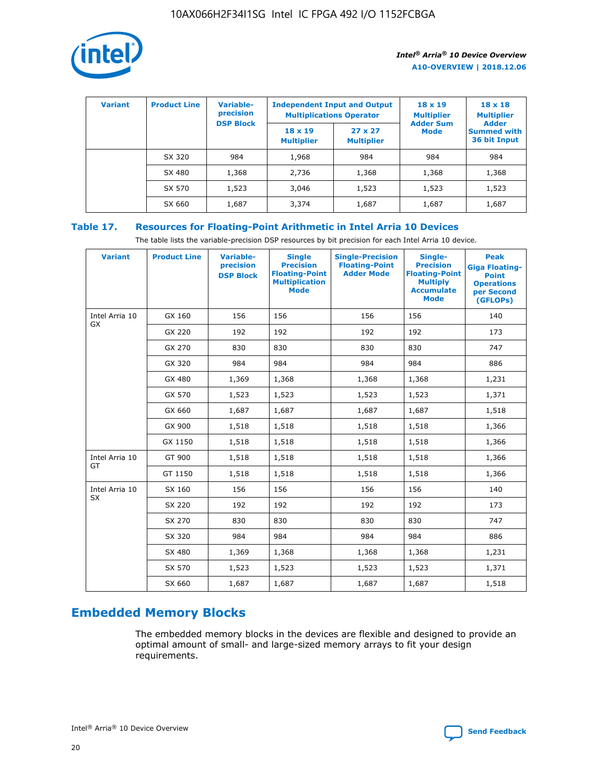

| <b>Variant</b> | <b>Product Line</b> | Variable-<br>precision | <b>Independent Input and Output</b> | <b>Multiplications Operator</b>     | $18 \times 19$<br><b>Multiplier</b> | $18 \times 18$<br><b>Multiplier</b><br><b>Adder</b> |  |
|----------------|---------------------|------------------------|-------------------------------------|-------------------------------------|-------------------------------------|-----------------------------------------------------|--|
|                |                     | <b>DSP Block</b>       | $18 \times 19$<br><b>Multiplier</b> | $27 \times 27$<br><b>Multiplier</b> | <b>Adder Sum</b><br><b>Mode</b>     | <b>Summed with</b><br>36 bit Input                  |  |
|                | SX 320              | 984                    | 1,968                               | 984                                 | 984                                 | 984                                                 |  |
|                | SX 480              | 1,368                  | 2,736                               | 1,368                               | 1,368                               | 1,368                                               |  |
|                | SX 570              | 1,523                  | 3,046                               | 1,523                               | 1,523                               | 1,523                                               |  |
|                | SX 660              | 1,687                  | 3,374                               | 1,687                               | 1,687                               | 1,687                                               |  |

## **Table 17. Resources for Floating-Point Arithmetic in Intel Arria 10 Devices**

The table lists the variable-precision DSP resources by bit precision for each Intel Arria 10 device.

| <b>Variant</b> | <b>Product Line</b> | <b>Variable-</b><br>precision<br><b>DSP Block</b> | <b>Single</b><br><b>Precision</b><br><b>Floating-Point</b><br><b>Multiplication</b><br><b>Mode</b> | <b>Single-Precision</b><br><b>Floating-Point</b><br><b>Adder Mode</b> | Single-<br><b>Precision</b><br><b>Floating-Point</b><br><b>Multiply</b><br><b>Accumulate</b><br><b>Mode</b> | <b>Peak</b><br><b>Giga Floating-</b><br><b>Point</b><br><b>Operations</b><br>per Second<br>(GFLOPs) |
|----------------|---------------------|---------------------------------------------------|----------------------------------------------------------------------------------------------------|-----------------------------------------------------------------------|-------------------------------------------------------------------------------------------------------------|-----------------------------------------------------------------------------------------------------|
| Intel Arria 10 | GX 160              | 156                                               | 156                                                                                                | 156                                                                   | 156                                                                                                         | 140                                                                                                 |
| <b>GX</b>      | GX 220              | 192                                               | 192                                                                                                | 192                                                                   | 192                                                                                                         | 173                                                                                                 |
|                | GX 270              | 830                                               | 830                                                                                                | 830                                                                   | 830                                                                                                         | 747                                                                                                 |
|                | GX 320              | 984                                               | 984                                                                                                | 984                                                                   | 984                                                                                                         | 886                                                                                                 |
|                | GX 480              | 1,369                                             | 1,368                                                                                              | 1,368                                                                 | 1,368                                                                                                       | 1,231                                                                                               |
|                | GX 570              | 1,523                                             | 1,523                                                                                              | 1,523                                                                 | 1,523                                                                                                       | 1,371                                                                                               |
|                | GX 660              | 1,687                                             | 1,687                                                                                              | 1,687                                                                 | 1,687                                                                                                       | 1,518                                                                                               |
|                | GX 900              | 1,518                                             | 1,518                                                                                              | 1,518                                                                 | 1,518                                                                                                       | 1,366                                                                                               |
|                | GX 1150             | 1,518                                             | 1,518                                                                                              | 1,518                                                                 | 1,518                                                                                                       | 1,366                                                                                               |
| Intel Arria 10 | GT 900              | 1,518                                             | 1,518                                                                                              | 1,518                                                                 | 1,518                                                                                                       | 1,366                                                                                               |
| GT             | GT 1150             | 1,518                                             | 1,518                                                                                              | 1,518                                                                 | 1,518                                                                                                       | 1,366                                                                                               |
| Intel Arria 10 | SX 160              | 156                                               | 156                                                                                                | 156                                                                   | 156                                                                                                         | 140                                                                                                 |
| SX             | SX 220              | 192                                               | 192                                                                                                | 192                                                                   | 192                                                                                                         | 173                                                                                                 |
|                | SX 270              | 830                                               | 830                                                                                                | 830                                                                   | 830                                                                                                         | 747                                                                                                 |
|                | SX 320              | 984                                               | 984                                                                                                | 984                                                                   | 984                                                                                                         | 886                                                                                                 |
|                | SX 480              | 1,369                                             | 1,368                                                                                              | 1,368                                                                 | 1,368                                                                                                       | 1,231                                                                                               |
|                | SX 570              | 1,523                                             | 1,523                                                                                              | 1,523                                                                 | 1,523                                                                                                       | 1,371                                                                                               |
|                | SX 660              | 1,687                                             | 1,687                                                                                              | 1,687                                                                 | 1,687                                                                                                       | 1,518                                                                                               |

# **Embedded Memory Blocks**

The embedded memory blocks in the devices are flexible and designed to provide an optimal amount of small- and large-sized memory arrays to fit your design requirements.

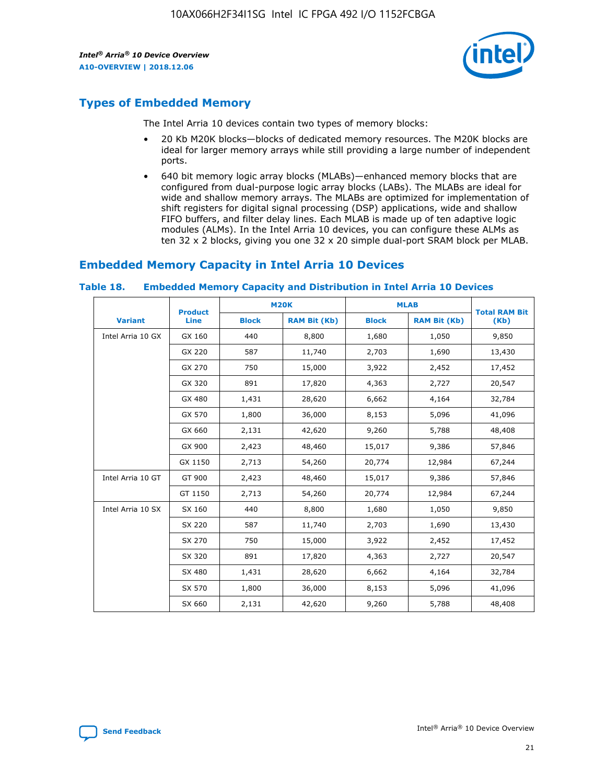

## **Types of Embedded Memory**

The Intel Arria 10 devices contain two types of memory blocks:

- 20 Kb M20K blocks—blocks of dedicated memory resources. The M20K blocks are ideal for larger memory arrays while still providing a large number of independent ports.
- 640 bit memory logic array blocks (MLABs)—enhanced memory blocks that are configured from dual-purpose logic array blocks (LABs). The MLABs are ideal for wide and shallow memory arrays. The MLABs are optimized for implementation of shift registers for digital signal processing (DSP) applications, wide and shallow FIFO buffers, and filter delay lines. Each MLAB is made up of ten adaptive logic modules (ALMs). In the Intel Arria 10 devices, you can configure these ALMs as ten 32 x 2 blocks, giving you one 32 x 20 simple dual-port SRAM block per MLAB.

## **Embedded Memory Capacity in Intel Arria 10 Devices**

|                   | <b>Product</b> |              | <b>M20K</b>         | <b>MLAB</b>  |                     | <b>Total RAM Bit</b> |
|-------------------|----------------|--------------|---------------------|--------------|---------------------|----------------------|
| <b>Variant</b>    | Line           | <b>Block</b> | <b>RAM Bit (Kb)</b> | <b>Block</b> | <b>RAM Bit (Kb)</b> | (Kb)                 |
| Intel Arria 10 GX | GX 160         | 440          | 8,800               | 1,680        | 1,050               | 9,850                |
|                   | GX 220         | 587          | 11,740              | 2,703        | 1,690               | 13,430               |
|                   | GX 270         | 750          | 15,000              | 3,922        | 2,452               | 17,452               |
|                   | GX 320         | 891          | 17,820              | 4,363        | 2,727               | 20,547               |
|                   | GX 480         | 1,431        | 28,620              | 6,662        | 4,164               | 32,784               |
|                   | GX 570         | 1,800        | 36,000              | 8,153        | 5,096               | 41,096               |
|                   | GX 660         | 2,131        | 42,620              | 9,260        | 5,788               | 48,408               |
|                   | GX 900         | 2,423        | 48,460              | 15,017       | 9,386               | 57,846               |
|                   | GX 1150        | 2,713        | 54,260              | 20,774       | 12,984              | 67,244               |
| Intel Arria 10 GT | GT 900         | 2,423        | 48,460              | 15,017       | 9,386               | 57,846               |
|                   | GT 1150        | 2,713        | 54,260              | 20,774       | 12,984              | 67,244               |
| Intel Arria 10 SX | SX 160         | 440          | 8,800               | 1,680        | 1,050               | 9,850                |
|                   | SX 220         | 587          | 11,740              | 2,703        | 1,690               | 13,430               |
|                   | SX 270         | 750          | 15,000              | 3,922        | 2,452               | 17,452               |
|                   | SX 320         | 891          | 17,820              | 4,363        | 2,727               | 20,547               |
|                   | SX 480         | 1,431        | 28,620              | 6,662        | 4,164               | 32,784               |
|                   | SX 570         | 1,800        | 36,000              | 8,153        | 5,096               | 41,096               |
|                   | SX 660         | 2,131        | 42,620              | 9,260        | 5,788               | 48,408               |

#### **Table 18. Embedded Memory Capacity and Distribution in Intel Arria 10 Devices**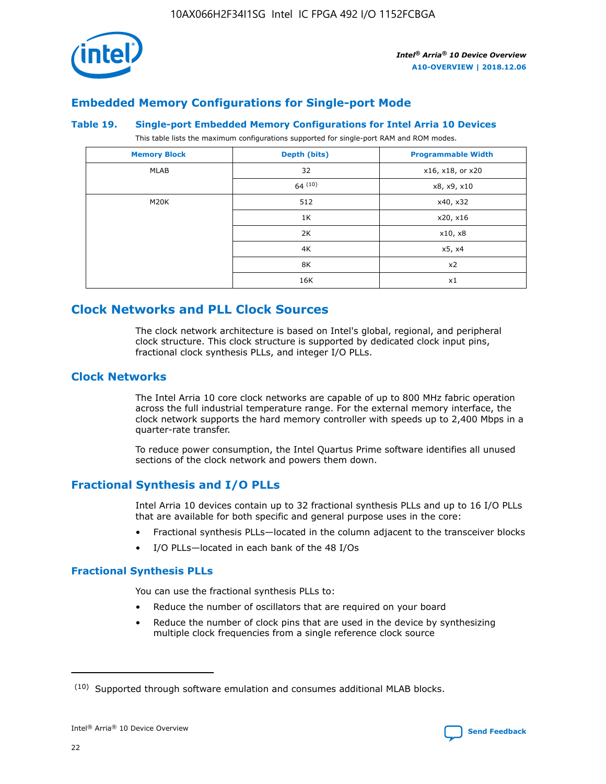

## **Embedded Memory Configurations for Single-port Mode**

#### **Table 19. Single-port Embedded Memory Configurations for Intel Arria 10 Devices**

This table lists the maximum configurations supported for single-port RAM and ROM modes.

| <b>Memory Block</b> | Depth (bits) | <b>Programmable Width</b> |
|---------------------|--------------|---------------------------|
| MLAB                | 32           | x16, x18, or x20          |
|                     | 64(10)       | x8, x9, x10               |
| M20K                | 512          | x40, x32                  |
|                     | 1K           | x20, x16                  |
|                     | 2K           | x10, x8                   |
|                     | 4K           | x5, x4                    |
|                     | 8K           | x2                        |
|                     | 16K          | x1                        |

## **Clock Networks and PLL Clock Sources**

The clock network architecture is based on Intel's global, regional, and peripheral clock structure. This clock structure is supported by dedicated clock input pins, fractional clock synthesis PLLs, and integer I/O PLLs.

## **Clock Networks**

The Intel Arria 10 core clock networks are capable of up to 800 MHz fabric operation across the full industrial temperature range. For the external memory interface, the clock network supports the hard memory controller with speeds up to 2,400 Mbps in a quarter-rate transfer.

To reduce power consumption, the Intel Quartus Prime software identifies all unused sections of the clock network and powers them down.

## **Fractional Synthesis and I/O PLLs**

Intel Arria 10 devices contain up to 32 fractional synthesis PLLs and up to 16 I/O PLLs that are available for both specific and general purpose uses in the core:

- Fractional synthesis PLLs—located in the column adjacent to the transceiver blocks
- I/O PLLs—located in each bank of the 48 I/Os

#### **Fractional Synthesis PLLs**

You can use the fractional synthesis PLLs to:

- Reduce the number of oscillators that are required on your board
- Reduce the number of clock pins that are used in the device by synthesizing multiple clock frequencies from a single reference clock source

<sup>(10)</sup> Supported through software emulation and consumes additional MLAB blocks.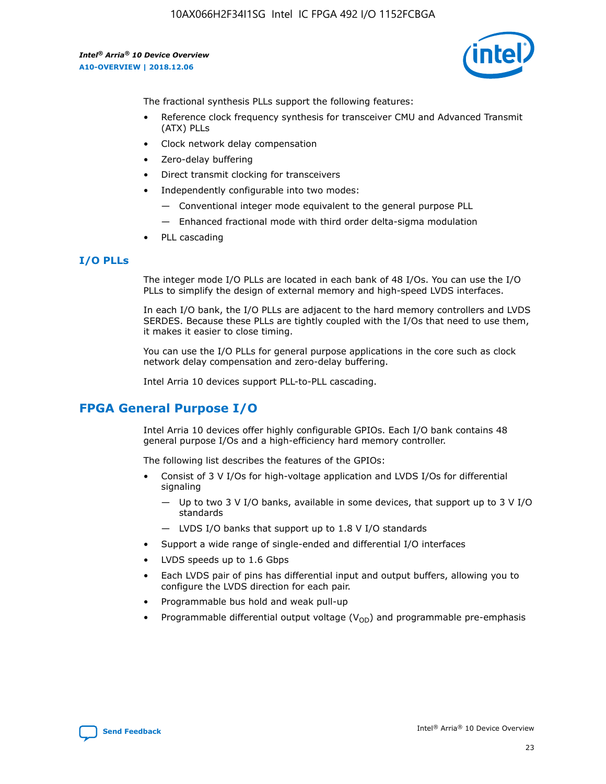

The fractional synthesis PLLs support the following features:

- Reference clock frequency synthesis for transceiver CMU and Advanced Transmit (ATX) PLLs
- Clock network delay compensation
- Zero-delay buffering
- Direct transmit clocking for transceivers
- Independently configurable into two modes:
	- Conventional integer mode equivalent to the general purpose PLL
	- Enhanced fractional mode with third order delta-sigma modulation
- PLL cascading

## **I/O PLLs**

The integer mode I/O PLLs are located in each bank of 48 I/Os. You can use the I/O PLLs to simplify the design of external memory and high-speed LVDS interfaces.

In each I/O bank, the I/O PLLs are adjacent to the hard memory controllers and LVDS SERDES. Because these PLLs are tightly coupled with the I/Os that need to use them, it makes it easier to close timing.

You can use the I/O PLLs for general purpose applications in the core such as clock network delay compensation and zero-delay buffering.

Intel Arria 10 devices support PLL-to-PLL cascading.

## **FPGA General Purpose I/O**

Intel Arria 10 devices offer highly configurable GPIOs. Each I/O bank contains 48 general purpose I/Os and a high-efficiency hard memory controller.

The following list describes the features of the GPIOs:

- Consist of 3 V I/Os for high-voltage application and LVDS I/Os for differential signaling
	- Up to two 3 V I/O banks, available in some devices, that support up to 3 V I/O standards
	- LVDS I/O banks that support up to 1.8 V I/O standards
- Support a wide range of single-ended and differential I/O interfaces
- LVDS speeds up to 1.6 Gbps
- Each LVDS pair of pins has differential input and output buffers, allowing you to configure the LVDS direction for each pair.
- Programmable bus hold and weak pull-up
- Programmable differential output voltage  $(V_{OD})$  and programmable pre-emphasis

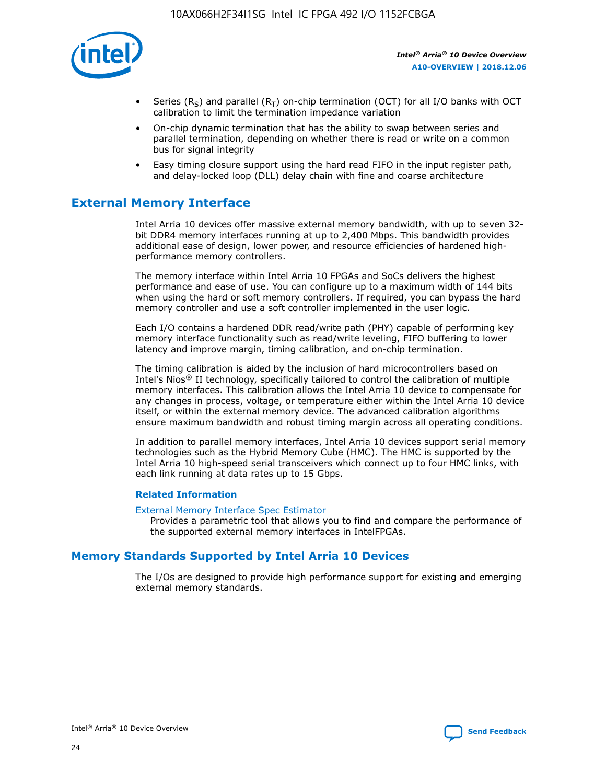

- Series (R<sub>S</sub>) and parallel (R<sub>T</sub>) on-chip termination (OCT) for all I/O banks with OCT calibration to limit the termination impedance variation
- On-chip dynamic termination that has the ability to swap between series and parallel termination, depending on whether there is read or write on a common bus for signal integrity
- Easy timing closure support using the hard read FIFO in the input register path, and delay-locked loop (DLL) delay chain with fine and coarse architecture

## **External Memory Interface**

Intel Arria 10 devices offer massive external memory bandwidth, with up to seven 32 bit DDR4 memory interfaces running at up to 2,400 Mbps. This bandwidth provides additional ease of design, lower power, and resource efficiencies of hardened highperformance memory controllers.

The memory interface within Intel Arria 10 FPGAs and SoCs delivers the highest performance and ease of use. You can configure up to a maximum width of 144 bits when using the hard or soft memory controllers. If required, you can bypass the hard memory controller and use a soft controller implemented in the user logic.

Each I/O contains a hardened DDR read/write path (PHY) capable of performing key memory interface functionality such as read/write leveling, FIFO buffering to lower latency and improve margin, timing calibration, and on-chip termination.

The timing calibration is aided by the inclusion of hard microcontrollers based on Intel's Nios® II technology, specifically tailored to control the calibration of multiple memory interfaces. This calibration allows the Intel Arria 10 device to compensate for any changes in process, voltage, or temperature either within the Intel Arria 10 device itself, or within the external memory device. The advanced calibration algorithms ensure maximum bandwidth and robust timing margin across all operating conditions.

In addition to parallel memory interfaces, Intel Arria 10 devices support serial memory technologies such as the Hybrid Memory Cube (HMC). The HMC is supported by the Intel Arria 10 high-speed serial transceivers which connect up to four HMC links, with each link running at data rates up to 15 Gbps.

#### **Related Information**

#### [External Memory Interface Spec Estimator](http://www.altera.com/technology/memory/estimator/mem-emif-index.html)

Provides a parametric tool that allows you to find and compare the performance of the supported external memory interfaces in IntelFPGAs.

## **Memory Standards Supported by Intel Arria 10 Devices**

The I/Os are designed to provide high performance support for existing and emerging external memory standards.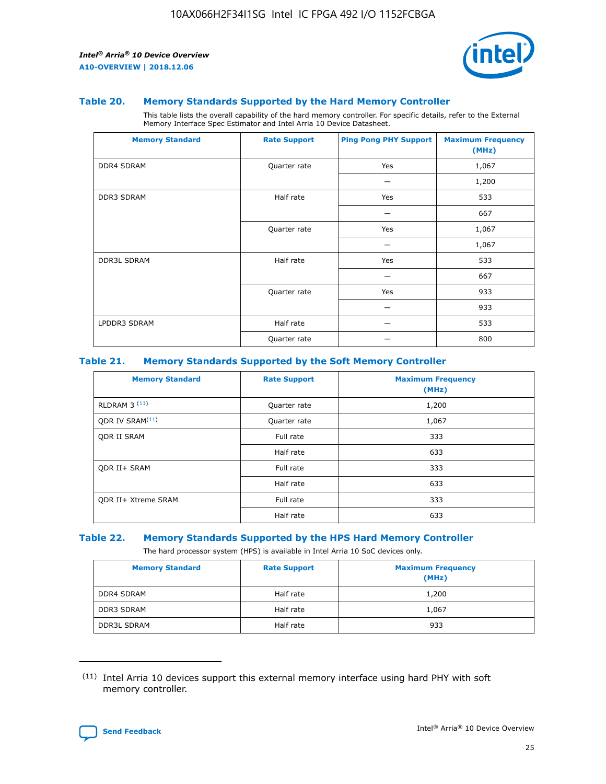

#### **Table 20. Memory Standards Supported by the Hard Memory Controller**

This table lists the overall capability of the hard memory controller. For specific details, refer to the External Memory Interface Spec Estimator and Intel Arria 10 Device Datasheet.

| <b>Memory Standard</b> | <b>Rate Support</b> | <b>Ping Pong PHY Support</b> | <b>Maximum Frequency</b><br>(MHz) |
|------------------------|---------------------|------------------------------|-----------------------------------|
| <b>DDR4 SDRAM</b>      | Quarter rate        | Yes                          | 1,067                             |
|                        |                     |                              | 1,200                             |
| DDR3 SDRAM             | Half rate           | Yes                          | 533                               |
|                        |                     |                              | 667                               |
|                        | Quarter rate        | Yes                          | 1,067                             |
|                        |                     |                              | 1,067                             |
| <b>DDR3L SDRAM</b>     | Half rate           | Yes                          | 533                               |
|                        |                     |                              | 667                               |
|                        | Quarter rate        | Yes                          | 933                               |
|                        |                     |                              | 933                               |
| LPDDR3 SDRAM           | Half rate           |                              | 533                               |
|                        | Quarter rate        |                              | 800                               |

#### **Table 21. Memory Standards Supported by the Soft Memory Controller**

| <b>Memory Standard</b>      | <b>Rate Support</b> | <b>Maximum Frequency</b><br>(MHz) |
|-----------------------------|---------------------|-----------------------------------|
| <b>RLDRAM 3 (11)</b>        | Quarter rate        | 1,200                             |
| ODR IV SRAM <sup>(11)</sup> | Quarter rate        | 1,067                             |
| <b>ODR II SRAM</b>          | Full rate           | 333                               |
|                             | Half rate           | 633                               |
| <b>ODR II+ SRAM</b>         | Full rate           | 333                               |
|                             | Half rate           | 633                               |
| <b>ODR II+ Xtreme SRAM</b>  | Full rate           | 333                               |
|                             | Half rate           | 633                               |

#### **Table 22. Memory Standards Supported by the HPS Hard Memory Controller**

The hard processor system (HPS) is available in Intel Arria 10 SoC devices only.

| <b>Memory Standard</b> | <b>Rate Support</b> | <b>Maximum Frequency</b><br>(MHz) |
|------------------------|---------------------|-----------------------------------|
| <b>DDR4 SDRAM</b>      | Half rate           | 1,200                             |
| <b>DDR3 SDRAM</b>      | Half rate           | 1,067                             |
| <b>DDR3L SDRAM</b>     | Half rate           | 933                               |

<sup>(11)</sup> Intel Arria 10 devices support this external memory interface using hard PHY with soft memory controller.

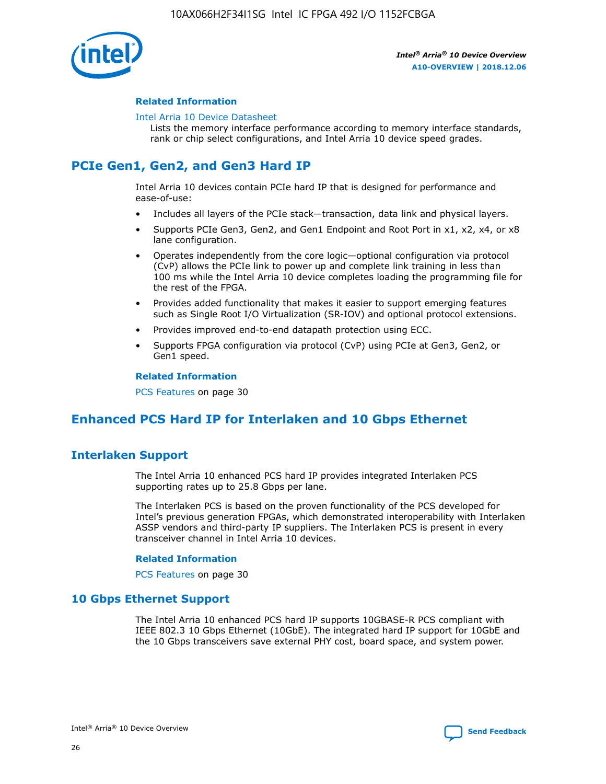

#### **Related Information**

#### [Intel Arria 10 Device Datasheet](https://www.intel.com/content/www/us/en/programmable/documentation/mcn1413182292568.html#mcn1413182153340)

Lists the memory interface performance according to memory interface standards, rank or chip select configurations, and Intel Arria 10 device speed grades.

## **PCIe Gen1, Gen2, and Gen3 Hard IP**

Intel Arria 10 devices contain PCIe hard IP that is designed for performance and ease-of-use:

- Includes all layers of the PCIe stack—transaction, data link and physical layers.
- Supports PCIe Gen3, Gen2, and Gen1 Endpoint and Root Port in x1, x2, x4, or x8 lane configuration.
- Operates independently from the core logic—optional configuration via protocol (CvP) allows the PCIe link to power up and complete link training in less than 100 ms while the Intel Arria 10 device completes loading the programming file for the rest of the FPGA.
- Provides added functionality that makes it easier to support emerging features such as Single Root I/O Virtualization (SR-IOV) and optional protocol extensions.
- Provides improved end-to-end datapath protection using ECC.
- Supports FPGA configuration via protocol (CvP) using PCIe at Gen3, Gen2, or Gen1 speed.

#### **Related Information**

PCS Features on page 30

## **Enhanced PCS Hard IP for Interlaken and 10 Gbps Ethernet**

## **Interlaken Support**

The Intel Arria 10 enhanced PCS hard IP provides integrated Interlaken PCS supporting rates up to 25.8 Gbps per lane.

The Interlaken PCS is based on the proven functionality of the PCS developed for Intel's previous generation FPGAs, which demonstrated interoperability with Interlaken ASSP vendors and third-party IP suppliers. The Interlaken PCS is present in every transceiver channel in Intel Arria 10 devices.

#### **Related Information**

PCS Features on page 30

## **10 Gbps Ethernet Support**

The Intel Arria 10 enhanced PCS hard IP supports 10GBASE-R PCS compliant with IEEE 802.3 10 Gbps Ethernet (10GbE). The integrated hard IP support for 10GbE and the 10 Gbps transceivers save external PHY cost, board space, and system power.

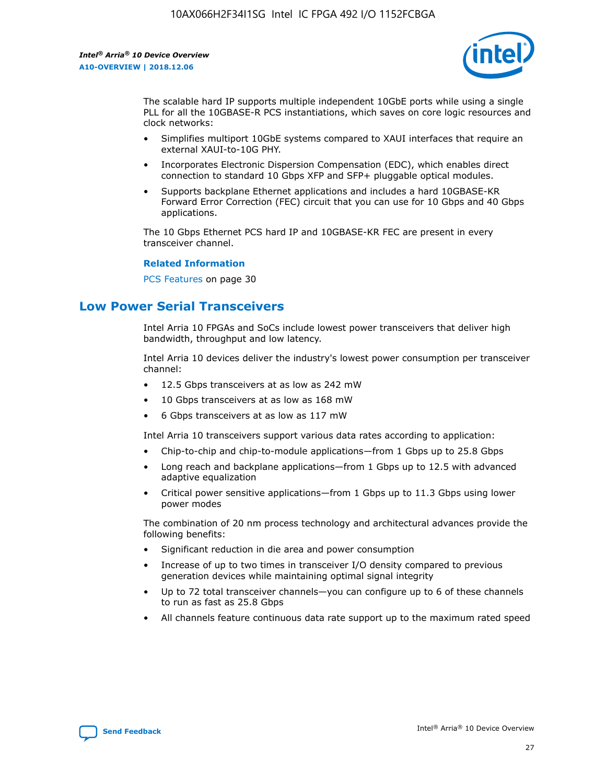

The scalable hard IP supports multiple independent 10GbE ports while using a single PLL for all the 10GBASE-R PCS instantiations, which saves on core logic resources and clock networks:

- Simplifies multiport 10GbE systems compared to XAUI interfaces that require an external XAUI-to-10G PHY.
- Incorporates Electronic Dispersion Compensation (EDC), which enables direct connection to standard 10 Gbps XFP and SFP+ pluggable optical modules.
- Supports backplane Ethernet applications and includes a hard 10GBASE-KR Forward Error Correction (FEC) circuit that you can use for 10 Gbps and 40 Gbps applications.

The 10 Gbps Ethernet PCS hard IP and 10GBASE-KR FEC are present in every transceiver channel.

#### **Related Information**

PCS Features on page 30

## **Low Power Serial Transceivers**

Intel Arria 10 FPGAs and SoCs include lowest power transceivers that deliver high bandwidth, throughput and low latency.

Intel Arria 10 devices deliver the industry's lowest power consumption per transceiver channel:

- 12.5 Gbps transceivers at as low as 242 mW
- 10 Gbps transceivers at as low as 168 mW
- 6 Gbps transceivers at as low as 117 mW

Intel Arria 10 transceivers support various data rates according to application:

- Chip-to-chip and chip-to-module applications—from 1 Gbps up to 25.8 Gbps
- Long reach and backplane applications—from 1 Gbps up to 12.5 with advanced adaptive equalization
- Critical power sensitive applications—from 1 Gbps up to 11.3 Gbps using lower power modes

The combination of 20 nm process technology and architectural advances provide the following benefits:

- Significant reduction in die area and power consumption
- Increase of up to two times in transceiver I/O density compared to previous generation devices while maintaining optimal signal integrity
- Up to 72 total transceiver channels—you can configure up to 6 of these channels to run as fast as 25.8 Gbps
- All channels feature continuous data rate support up to the maximum rated speed

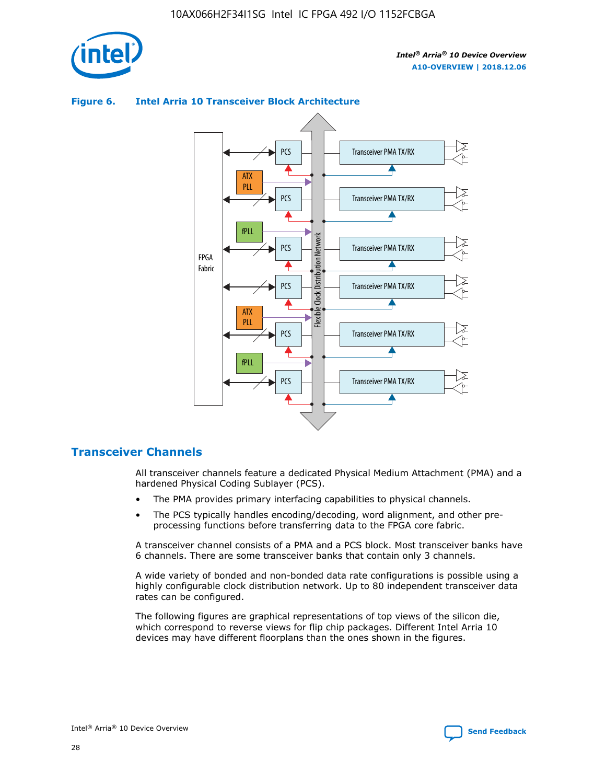



## **Figure 6. Intel Arria 10 Transceiver Block Architecture**

## **Transceiver Channels**

All transceiver channels feature a dedicated Physical Medium Attachment (PMA) and a hardened Physical Coding Sublayer (PCS).

- The PMA provides primary interfacing capabilities to physical channels.
- The PCS typically handles encoding/decoding, word alignment, and other preprocessing functions before transferring data to the FPGA core fabric.

A transceiver channel consists of a PMA and a PCS block. Most transceiver banks have 6 channels. There are some transceiver banks that contain only 3 channels.

A wide variety of bonded and non-bonded data rate configurations is possible using a highly configurable clock distribution network. Up to 80 independent transceiver data rates can be configured.

The following figures are graphical representations of top views of the silicon die, which correspond to reverse views for flip chip packages. Different Intel Arria 10 devices may have different floorplans than the ones shown in the figures.

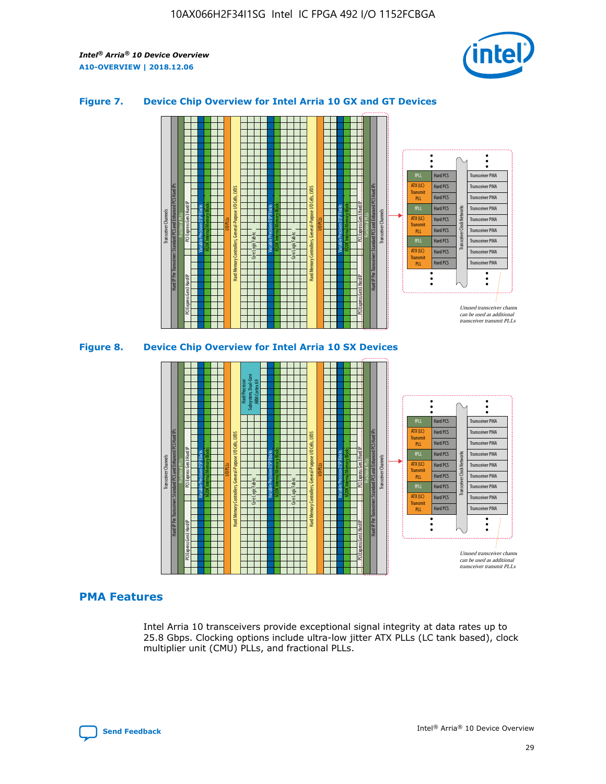

## **Figure 7. Device Chip Overview for Intel Arria 10 GX and GT Devices**



M20K Internal Memory Blocks Core Logic Fabric Transceiver Channels Hard IP Per Transceiver: Standard PCS and Enhanced PCS Hard IPs PCI Express Gen3 Hard IP Fractional PLLs M20K Internal Memory Blocks PCI Express Gen3 Hard IP Variable Precision DSP Blocks I/O PLLs Hard Memory Controllers, General-Purpose I/O Cells, LVDS Hard Processor Subsystem, Dual-Core ARM Cortex A9 M20K Internal Memory Blocks Variable Precision DSP Blocks M20K Internal Memory Blocks Core Logic Fabric I/O PLLs Hard Memory Controllers, General-Purpose I/O Cells, LVDS M20K Internal Memory Blocks Variable Precision DSP Blocks M20K Internal Memory Blocks Transceiver Channels Hard IP Per Transceiver: Standard PCS and Enhanced PCS Hard IPs PCI Express Gen3 Hard IP Fractional PLLs PCI Express Gen3 Hard IP  $\ddot{\cdot}$ Hard PCS Transceiver PMA fPLL ATX (LC) Hard PCS Transceiver PMA **Transmit** Hard PCS Transceiver PMA PLL fPLL Hard PCS Transceiver PMA Transceiver Clock Networks ATX (LC) Hard PCS Transceiver PMA Transmi Hard PCS Transceiver PMA PLL fPLL Hard PCS Transceiver PMA Transceiver PMA Hard PCS ATX (LC) **Transmit** Hard PCS Transceiver PMA PLL Unused transceiver chann can be used as additional transceiver transmit PLLs

#### **PMA Features**

Intel Arria 10 transceivers provide exceptional signal integrity at data rates up to 25.8 Gbps. Clocking options include ultra-low jitter ATX PLLs (LC tank based), clock multiplier unit (CMU) PLLs, and fractional PLLs.

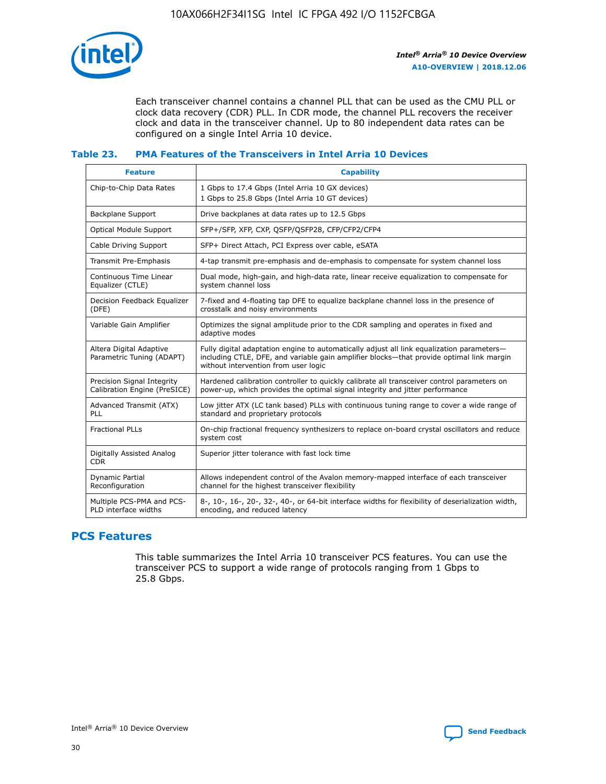

Each transceiver channel contains a channel PLL that can be used as the CMU PLL or clock data recovery (CDR) PLL. In CDR mode, the channel PLL recovers the receiver clock and data in the transceiver channel. Up to 80 independent data rates can be configured on a single Intel Arria 10 device.

## **Table 23. PMA Features of the Transceivers in Intel Arria 10 Devices**

| <b>Feature</b>                                             | <b>Capability</b>                                                                                                                                                                                                             |
|------------------------------------------------------------|-------------------------------------------------------------------------------------------------------------------------------------------------------------------------------------------------------------------------------|
| Chip-to-Chip Data Rates                                    | 1 Gbps to 17.4 Gbps (Intel Arria 10 GX devices)<br>1 Gbps to 25.8 Gbps (Intel Arria 10 GT devices)                                                                                                                            |
| Backplane Support                                          | Drive backplanes at data rates up to 12.5 Gbps                                                                                                                                                                                |
| <b>Optical Module Support</b>                              | SFP+/SFP, XFP, CXP, QSFP/QSFP28, CFP/CFP2/CFP4                                                                                                                                                                                |
| Cable Driving Support                                      | SFP+ Direct Attach, PCI Express over cable, eSATA                                                                                                                                                                             |
| Transmit Pre-Emphasis                                      | 4-tap transmit pre-emphasis and de-emphasis to compensate for system channel loss                                                                                                                                             |
| Continuous Time Linear<br>Equalizer (CTLE)                 | Dual mode, high-gain, and high-data rate, linear receive equalization to compensate for<br>system channel loss                                                                                                                |
| Decision Feedback Equalizer<br>(DFE)                       | 7-fixed and 4-floating tap DFE to equalize backplane channel loss in the presence of<br>crosstalk and noisy environments                                                                                                      |
| Variable Gain Amplifier                                    | Optimizes the signal amplitude prior to the CDR sampling and operates in fixed and<br>adaptive modes                                                                                                                          |
| Altera Digital Adaptive<br>Parametric Tuning (ADAPT)       | Fully digital adaptation engine to automatically adjust all link equalization parameters-<br>including CTLE, DFE, and variable gain amplifier blocks—that provide optimal link margin<br>without intervention from user logic |
| Precision Signal Integrity<br>Calibration Engine (PreSICE) | Hardened calibration controller to quickly calibrate all transceiver control parameters on<br>power-up, which provides the optimal signal integrity and jitter performance                                                    |
| Advanced Transmit (ATX)<br>PLL                             | Low jitter ATX (LC tank based) PLLs with continuous tuning range to cover a wide range of<br>standard and proprietary protocols                                                                                               |
| <b>Fractional PLLs</b>                                     | On-chip fractional frequency synthesizers to replace on-board crystal oscillators and reduce<br>system cost                                                                                                                   |
| Digitally Assisted Analog<br><b>CDR</b>                    | Superior jitter tolerance with fast lock time                                                                                                                                                                                 |
| <b>Dynamic Partial</b><br>Reconfiguration                  | Allows independent control of the Avalon memory-mapped interface of each transceiver<br>channel for the highest transceiver flexibility                                                                                       |
| Multiple PCS-PMA and PCS-<br>PLD interface widths          | 8-, 10-, 16-, 20-, 32-, 40-, or 64-bit interface widths for flexibility of deserialization width,<br>encoding, and reduced latency                                                                                            |

## **PCS Features**

This table summarizes the Intel Arria 10 transceiver PCS features. You can use the transceiver PCS to support a wide range of protocols ranging from 1 Gbps to 25.8 Gbps.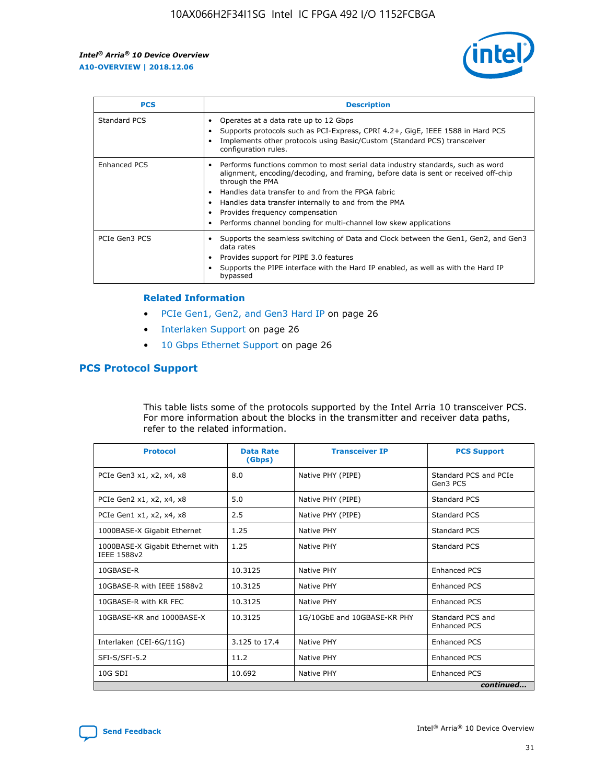

| <b>PCS</b>    | <b>Description</b>                                                                                                                                                                                                                                                                                                                                                                                             |
|---------------|----------------------------------------------------------------------------------------------------------------------------------------------------------------------------------------------------------------------------------------------------------------------------------------------------------------------------------------------------------------------------------------------------------------|
| Standard PCS  | Operates at a data rate up to 12 Gbps<br>Supports protocols such as PCI-Express, CPRI 4.2+, GigE, IEEE 1588 in Hard PCS<br>Implements other protocols using Basic/Custom (Standard PCS) transceiver<br>configuration rules.                                                                                                                                                                                    |
| Enhanced PCS  | Performs functions common to most serial data industry standards, such as word<br>alignment, encoding/decoding, and framing, before data is sent or received off-chip<br>through the PMA<br>• Handles data transfer to and from the FPGA fabric<br>Handles data transfer internally to and from the PMA<br>Provides frequency compensation<br>Performs channel bonding for multi-channel low skew applications |
| PCIe Gen3 PCS | Supports the seamless switching of Data and Clock between the Gen1, Gen2, and Gen3<br>data rates<br>Provides support for PIPE 3.0 features<br>Supports the PIPE interface with the Hard IP enabled, as well as with the Hard IP<br>bypassed                                                                                                                                                                    |

#### **Related Information**

- PCIe Gen1, Gen2, and Gen3 Hard IP on page 26
- Interlaken Support on page 26
- 10 Gbps Ethernet Support on page 26

## **PCS Protocol Support**

This table lists some of the protocols supported by the Intel Arria 10 transceiver PCS. For more information about the blocks in the transmitter and receiver data paths, refer to the related information.

| <b>Protocol</b>                                 | <b>Data Rate</b><br>(Gbps) | <b>Transceiver IP</b>       | <b>PCS Support</b>                      |
|-------------------------------------------------|----------------------------|-----------------------------|-----------------------------------------|
| PCIe Gen3 x1, x2, x4, x8                        | 8.0                        | Native PHY (PIPE)           | Standard PCS and PCIe<br>Gen3 PCS       |
| PCIe Gen2 x1, x2, x4, x8                        | 5.0                        | Native PHY (PIPE)           | <b>Standard PCS</b>                     |
| PCIe Gen1 x1, x2, x4, x8                        | 2.5                        | Native PHY (PIPE)           | Standard PCS                            |
| 1000BASE-X Gigabit Ethernet                     | 1.25                       | Native PHY                  | <b>Standard PCS</b>                     |
| 1000BASE-X Gigabit Ethernet with<br>IEEE 1588v2 | 1.25                       | Native PHY                  | Standard PCS                            |
| 10GBASE-R                                       | 10.3125                    | Native PHY                  | <b>Enhanced PCS</b>                     |
| 10GBASE-R with IEEE 1588v2                      | 10.3125                    | Native PHY                  | <b>Enhanced PCS</b>                     |
| 10GBASE-R with KR FEC                           | 10.3125                    | Native PHY                  | <b>Enhanced PCS</b>                     |
| 10GBASE-KR and 1000BASE-X                       | 10.3125                    | 1G/10GbE and 10GBASE-KR PHY | Standard PCS and<br><b>Enhanced PCS</b> |
| Interlaken (CEI-6G/11G)                         | 3.125 to 17.4              | Native PHY                  | <b>Enhanced PCS</b>                     |
| SFI-S/SFI-5.2                                   | 11.2                       | Native PHY                  | <b>Enhanced PCS</b>                     |
| $10G$ SDI                                       | 10.692                     | Native PHY                  | <b>Enhanced PCS</b>                     |
|                                                 |                            |                             | continued                               |

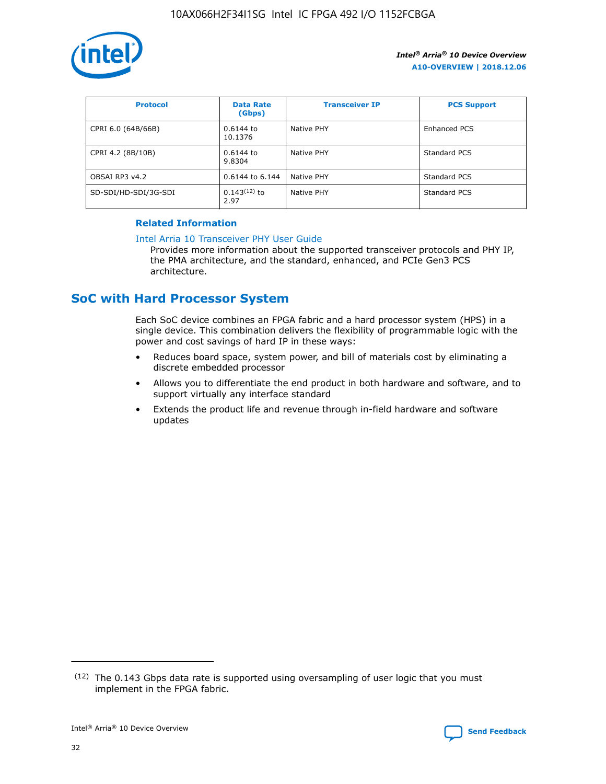

| <b>Protocol</b>      | <b>Data Rate</b><br>(Gbps) | <b>Transceiver IP</b> | <b>PCS Support</b> |
|----------------------|----------------------------|-----------------------|--------------------|
| CPRI 6.0 (64B/66B)   | 0.6144 to<br>10.1376       | Native PHY            | Enhanced PCS       |
| CPRI 4.2 (8B/10B)    | 0.6144 to<br>9.8304        | Native PHY            | Standard PCS       |
| OBSAI RP3 v4.2       | 0.6144 to 6.144            | Native PHY            | Standard PCS       |
| SD-SDI/HD-SDI/3G-SDI | $0.143(12)$ to<br>2.97     | Native PHY            | Standard PCS       |

## **Related Information**

#### [Intel Arria 10 Transceiver PHY User Guide](https://www.intel.com/content/www/us/en/programmable/documentation/nik1398707230472.html#nik1398707091164)

Provides more information about the supported transceiver protocols and PHY IP, the PMA architecture, and the standard, enhanced, and PCIe Gen3 PCS architecture.

## **SoC with Hard Processor System**

Each SoC device combines an FPGA fabric and a hard processor system (HPS) in a single device. This combination delivers the flexibility of programmable logic with the power and cost savings of hard IP in these ways:

- Reduces board space, system power, and bill of materials cost by eliminating a discrete embedded processor
- Allows you to differentiate the end product in both hardware and software, and to support virtually any interface standard
- Extends the product life and revenue through in-field hardware and software updates

 $(12)$  The 0.143 Gbps data rate is supported using oversampling of user logic that you must implement in the FPGA fabric.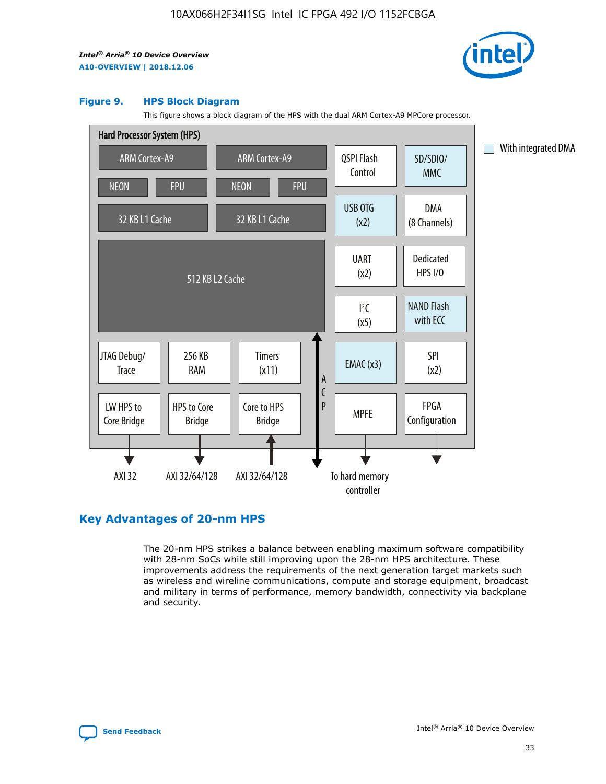

#### **Figure 9. HPS Block Diagram**

This figure shows a block diagram of the HPS with the dual ARM Cortex-A9 MPCore processor.



## **Key Advantages of 20-nm HPS**

The 20-nm HPS strikes a balance between enabling maximum software compatibility with 28-nm SoCs while still improving upon the 28-nm HPS architecture. These improvements address the requirements of the next generation target markets such as wireless and wireline communications, compute and storage equipment, broadcast and military in terms of performance, memory bandwidth, connectivity via backplane and security.

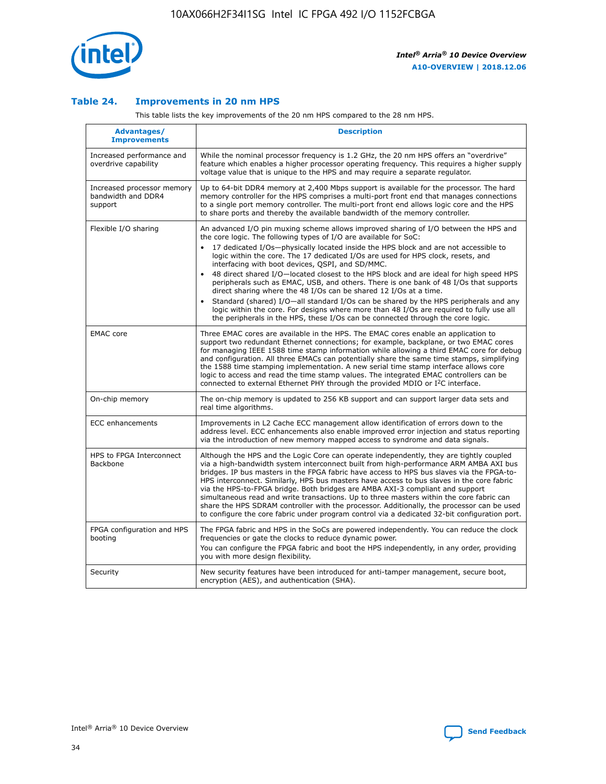

## **Table 24. Improvements in 20 nm HPS**

This table lists the key improvements of the 20 nm HPS compared to the 28 nm HPS.

| Advantages/<br><b>Improvements</b>                          | <b>Description</b>                                                                                                                                                                                                                                                                                                                                                                                                                                                                                                                                                                                                                                                                                                                                                                                                                                                                                                      |
|-------------------------------------------------------------|-------------------------------------------------------------------------------------------------------------------------------------------------------------------------------------------------------------------------------------------------------------------------------------------------------------------------------------------------------------------------------------------------------------------------------------------------------------------------------------------------------------------------------------------------------------------------------------------------------------------------------------------------------------------------------------------------------------------------------------------------------------------------------------------------------------------------------------------------------------------------------------------------------------------------|
| Increased performance and<br>overdrive capability           | While the nominal processor frequency is 1.2 GHz, the 20 nm HPS offers an "overdrive"<br>feature which enables a higher processor operating frequency. This requires a higher supply<br>voltage value that is unique to the HPS and may require a separate regulator.                                                                                                                                                                                                                                                                                                                                                                                                                                                                                                                                                                                                                                                   |
| Increased processor memory<br>bandwidth and DDR4<br>support | Up to 64-bit DDR4 memory at 2,400 Mbps support is available for the processor. The hard<br>memory controller for the HPS comprises a multi-port front end that manages connections<br>to a single port memory controller. The multi-port front end allows logic core and the HPS<br>to share ports and thereby the available bandwidth of the memory controller.                                                                                                                                                                                                                                                                                                                                                                                                                                                                                                                                                        |
| Flexible I/O sharing                                        | An advanced I/O pin muxing scheme allows improved sharing of I/O between the HPS and<br>the core logic. The following types of I/O are available for SoC:<br>17 dedicated I/Os-physically located inside the HPS block and are not accessible to<br>logic within the core. The 17 dedicated I/Os are used for HPS clock, resets, and<br>interfacing with boot devices, QSPI, and SD/MMC.<br>48 direct shared I/O-located closest to the HPS block and are ideal for high speed HPS<br>peripherals such as EMAC, USB, and others. There is one bank of 48 I/Os that supports<br>direct sharing where the 48 I/Os can be shared 12 I/Os at a time.<br>Standard (shared) I/O-all standard I/Os can be shared by the HPS peripherals and any<br>logic within the core. For designs where more than 48 I/Os are required to fully use all<br>the peripherals in the HPS, these I/Os can be connected through the core logic. |
| <b>EMAC</b> core                                            | Three EMAC cores are available in the HPS. The EMAC cores enable an application to<br>support two redundant Ethernet connections; for example, backplane, or two EMAC cores<br>for managing IEEE 1588 time stamp information while allowing a third EMAC core for debug<br>and configuration. All three EMACs can potentially share the same time stamps, simplifying<br>the 1588 time stamping implementation. A new serial time stamp interface allows core<br>logic to access and read the time stamp values. The integrated EMAC controllers can be<br>connected to external Ethernet PHY through the provided MDIO or I <sup>2</sup> C interface.                                                                                                                                                                                                                                                                  |
| On-chip memory                                              | The on-chip memory is updated to 256 KB support and can support larger data sets and<br>real time algorithms.                                                                                                                                                                                                                                                                                                                                                                                                                                                                                                                                                                                                                                                                                                                                                                                                           |
| <b>ECC</b> enhancements                                     | Improvements in L2 Cache ECC management allow identification of errors down to the<br>address level. ECC enhancements also enable improved error injection and status reporting<br>via the introduction of new memory mapped access to syndrome and data signals.                                                                                                                                                                                                                                                                                                                                                                                                                                                                                                                                                                                                                                                       |
| HPS to FPGA Interconnect<br>Backbone                        | Although the HPS and the Logic Core can operate independently, they are tightly coupled<br>via a high-bandwidth system interconnect built from high-performance ARM AMBA AXI bus<br>bridges. IP bus masters in the FPGA fabric have access to HPS bus slaves via the FPGA-to-<br>HPS interconnect. Similarly, HPS bus masters have access to bus slaves in the core fabric<br>via the HPS-to-FPGA bridge. Both bridges are AMBA AXI-3 compliant and support<br>simultaneous read and write transactions. Up to three masters within the core fabric can<br>share the HPS SDRAM controller with the processor. Additionally, the processor can be used<br>to configure the core fabric under program control via a dedicated 32-bit configuration port.                                                                                                                                                                  |
| FPGA configuration and HPS<br>booting                       | The FPGA fabric and HPS in the SoCs are powered independently. You can reduce the clock<br>frequencies or gate the clocks to reduce dynamic power.<br>You can configure the FPGA fabric and boot the HPS independently, in any order, providing<br>you with more design flexibility.                                                                                                                                                                                                                                                                                                                                                                                                                                                                                                                                                                                                                                    |
| Security                                                    | New security features have been introduced for anti-tamper management, secure boot,<br>encryption (AES), and authentication (SHA).                                                                                                                                                                                                                                                                                                                                                                                                                                                                                                                                                                                                                                                                                                                                                                                      |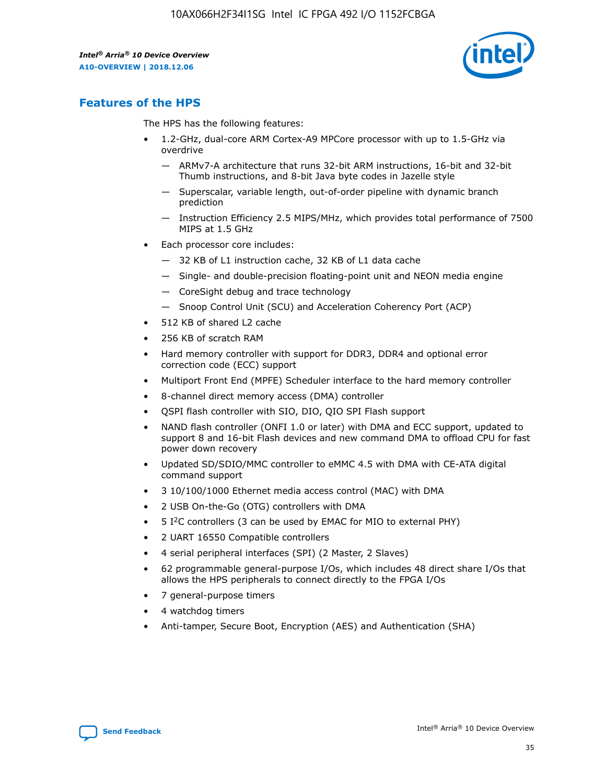

## **Features of the HPS**

The HPS has the following features:

- 1.2-GHz, dual-core ARM Cortex-A9 MPCore processor with up to 1.5-GHz via overdrive
	- ARMv7-A architecture that runs 32-bit ARM instructions, 16-bit and 32-bit Thumb instructions, and 8-bit Java byte codes in Jazelle style
	- Superscalar, variable length, out-of-order pipeline with dynamic branch prediction
	- Instruction Efficiency 2.5 MIPS/MHz, which provides total performance of 7500 MIPS at 1.5 GHz
- Each processor core includes:
	- 32 KB of L1 instruction cache, 32 KB of L1 data cache
	- Single- and double-precision floating-point unit and NEON media engine
	- CoreSight debug and trace technology
	- Snoop Control Unit (SCU) and Acceleration Coherency Port (ACP)
- 512 KB of shared L2 cache
- 256 KB of scratch RAM
- Hard memory controller with support for DDR3, DDR4 and optional error correction code (ECC) support
- Multiport Front End (MPFE) Scheduler interface to the hard memory controller
- 8-channel direct memory access (DMA) controller
- QSPI flash controller with SIO, DIO, QIO SPI Flash support
- NAND flash controller (ONFI 1.0 or later) with DMA and ECC support, updated to support 8 and 16-bit Flash devices and new command DMA to offload CPU for fast power down recovery
- Updated SD/SDIO/MMC controller to eMMC 4.5 with DMA with CE-ATA digital command support
- 3 10/100/1000 Ethernet media access control (MAC) with DMA
- 2 USB On-the-Go (OTG) controllers with DMA
- $\bullet$  5 I<sup>2</sup>C controllers (3 can be used by EMAC for MIO to external PHY)
- 2 UART 16550 Compatible controllers
- 4 serial peripheral interfaces (SPI) (2 Master, 2 Slaves)
- 62 programmable general-purpose I/Os, which includes 48 direct share I/Os that allows the HPS peripherals to connect directly to the FPGA I/Os
- 7 general-purpose timers
- 4 watchdog timers
- Anti-tamper, Secure Boot, Encryption (AES) and Authentication (SHA)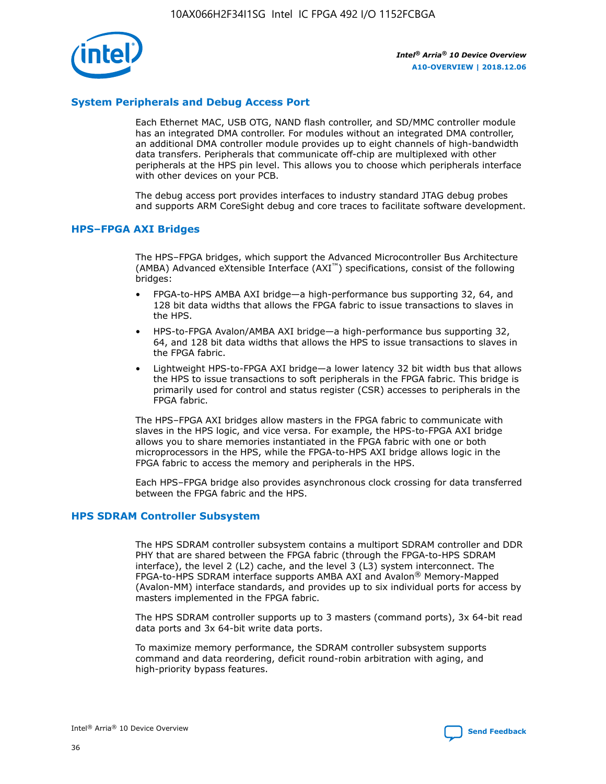

## **System Peripherals and Debug Access Port**

Each Ethernet MAC, USB OTG, NAND flash controller, and SD/MMC controller module has an integrated DMA controller. For modules without an integrated DMA controller, an additional DMA controller module provides up to eight channels of high-bandwidth data transfers. Peripherals that communicate off-chip are multiplexed with other peripherals at the HPS pin level. This allows you to choose which peripherals interface with other devices on your PCB.

The debug access port provides interfaces to industry standard JTAG debug probes and supports ARM CoreSight debug and core traces to facilitate software development.

## **HPS–FPGA AXI Bridges**

The HPS–FPGA bridges, which support the Advanced Microcontroller Bus Architecture (AMBA) Advanced eXtensible Interface (AXI™) specifications, consist of the following bridges:

- FPGA-to-HPS AMBA AXI bridge—a high-performance bus supporting 32, 64, and 128 bit data widths that allows the FPGA fabric to issue transactions to slaves in the HPS.
- HPS-to-FPGA Avalon/AMBA AXI bridge—a high-performance bus supporting 32, 64, and 128 bit data widths that allows the HPS to issue transactions to slaves in the FPGA fabric.
- Lightweight HPS-to-FPGA AXI bridge—a lower latency 32 bit width bus that allows the HPS to issue transactions to soft peripherals in the FPGA fabric. This bridge is primarily used for control and status register (CSR) accesses to peripherals in the FPGA fabric.

The HPS–FPGA AXI bridges allow masters in the FPGA fabric to communicate with slaves in the HPS logic, and vice versa. For example, the HPS-to-FPGA AXI bridge allows you to share memories instantiated in the FPGA fabric with one or both microprocessors in the HPS, while the FPGA-to-HPS AXI bridge allows logic in the FPGA fabric to access the memory and peripherals in the HPS.

Each HPS–FPGA bridge also provides asynchronous clock crossing for data transferred between the FPGA fabric and the HPS.

#### **HPS SDRAM Controller Subsystem**

The HPS SDRAM controller subsystem contains a multiport SDRAM controller and DDR PHY that are shared between the FPGA fabric (through the FPGA-to-HPS SDRAM interface), the level 2 (L2) cache, and the level 3 (L3) system interconnect. The FPGA-to-HPS SDRAM interface supports AMBA AXI and Avalon® Memory-Mapped (Avalon-MM) interface standards, and provides up to six individual ports for access by masters implemented in the FPGA fabric.

The HPS SDRAM controller supports up to 3 masters (command ports), 3x 64-bit read data ports and 3x 64-bit write data ports.

To maximize memory performance, the SDRAM controller subsystem supports command and data reordering, deficit round-robin arbitration with aging, and high-priority bypass features.

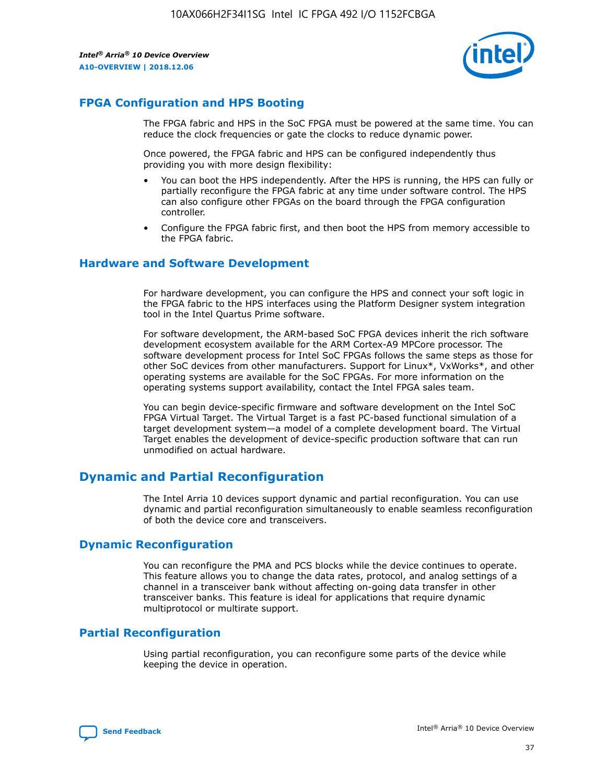

## **FPGA Configuration and HPS Booting**

The FPGA fabric and HPS in the SoC FPGA must be powered at the same time. You can reduce the clock frequencies or gate the clocks to reduce dynamic power.

Once powered, the FPGA fabric and HPS can be configured independently thus providing you with more design flexibility:

- You can boot the HPS independently. After the HPS is running, the HPS can fully or partially reconfigure the FPGA fabric at any time under software control. The HPS can also configure other FPGAs on the board through the FPGA configuration controller.
- Configure the FPGA fabric first, and then boot the HPS from memory accessible to the FPGA fabric.

## **Hardware and Software Development**

For hardware development, you can configure the HPS and connect your soft logic in the FPGA fabric to the HPS interfaces using the Platform Designer system integration tool in the Intel Quartus Prime software.

For software development, the ARM-based SoC FPGA devices inherit the rich software development ecosystem available for the ARM Cortex-A9 MPCore processor. The software development process for Intel SoC FPGAs follows the same steps as those for other SoC devices from other manufacturers. Support for Linux\*, VxWorks\*, and other operating systems are available for the SoC FPGAs. For more information on the operating systems support availability, contact the Intel FPGA sales team.

You can begin device-specific firmware and software development on the Intel SoC FPGA Virtual Target. The Virtual Target is a fast PC-based functional simulation of a target development system—a model of a complete development board. The Virtual Target enables the development of device-specific production software that can run unmodified on actual hardware.

## **Dynamic and Partial Reconfiguration**

The Intel Arria 10 devices support dynamic and partial reconfiguration. You can use dynamic and partial reconfiguration simultaneously to enable seamless reconfiguration of both the device core and transceivers.

## **Dynamic Reconfiguration**

You can reconfigure the PMA and PCS blocks while the device continues to operate. This feature allows you to change the data rates, protocol, and analog settings of a channel in a transceiver bank without affecting on-going data transfer in other transceiver banks. This feature is ideal for applications that require dynamic multiprotocol or multirate support.

## **Partial Reconfiguration**

Using partial reconfiguration, you can reconfigure some parts of the device while keeping the device in operation.

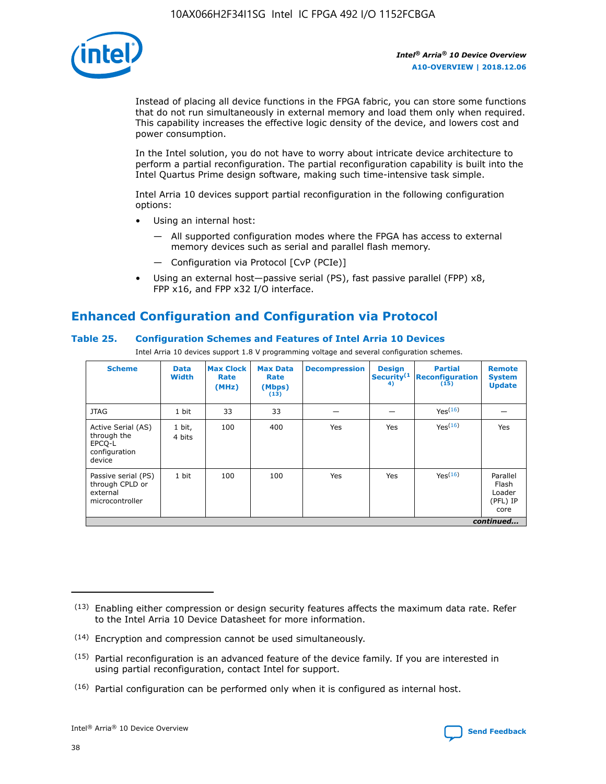

Instead of placing all device functions in the FPGA fabric, you can store some functions that do not run simultaneously in external memory and load them only when required. This capability increases the effective logic density of the device, and lowers cost and power consumption.

In the Intel solution, you do not have to worry about intricate device architecture to perform a partial reconfiguration. The partial reconfiguration capability is built into the Intel Quartus Prime design software, making such time-intensive task simple.

Intel Arria 10 devices support partial reconfiguration in the following configuration options:

- Using an internal host:
	- All supported configuration modes where the FPGA has access to external memory devices such as serial and parallel flash memory.
	- Configuration via Protocol [CvP (PCIe)]
- Using an external host—passive serial (PS), fast passive parallel (FPP) x8, FPP x16, and FPP x32 I/O interface.

# **Enhanced Configuration and Configuration via Protocol**

## **Table 25. Configuration Schemes and Features of Intel Arria 10 Devices**

Intel Arria 10 devices support 1.8 V programming voltage and several configuration schemes.

| <b>Scheme</b>                                                          | <b>Data</b><br><b>Width</b> | <b>Max Clock</b><br>Rate<br>(MHz) | <b>Max Data</b><br>Rate<br>(Mbps)<br>(13) | <b>Decompression</b> | <b>Design</b><br>Security <sup>(1</sup><br>4) | <b>Partial</b><br>Reconfiguration<br>(15) | <b>Remote</b><br><b>System</b><br><b>Update</b> |
|------------------------------------------------------------------------|-----------------------------|-----------------------------------|-------------------------------------------|----------------------|-----------------------------------------------|-------------------------------------------|-------------------------------------------------|
| <b>JTAG</b>                                                            | 1 bit                       | 33                                | 33                                        |                      |                                               | Yes <sup>(16)</sup>                       |                                                 |
| Active Serial (AS)<br>through the<br>EPCO-L<br>configuration<br>device | 1 bit,<br>4 bits            | 100                               | 400                                       | Yes                  | Yes                                           | $Y_{PS}(16)$                              | Yes                                             |
| Passive serial (PS)<br>through CPLD or<br>external<br>microcontroller  | 1 bit                       | 100                               | 100                                       | Yes                  | Yes                                           | Yes(16)                                   | Parallel<br>Flash<br>Loader<br>(PFL) IP<br>core |
|                                                                        |                             |                                   |                                           |                      |                                               |                                           | continued                                       |

<sup>(13)</sup> Enabling either compression or design security features affects the maximum data rate. Refer to the Intel Arria 10 Device Datasheet for more information.

<sup>(14)</sup> Encryption and compression cannot be used simultaneously.

 $<sup>(15)</sup>$  Partial reconfiguration is an advanced feature of the device family. If you are interested in</sup> using partial reconfiguration, contact Intel for support.

 $(16)$  Partial configuration can be performed only when it is configured as internal host.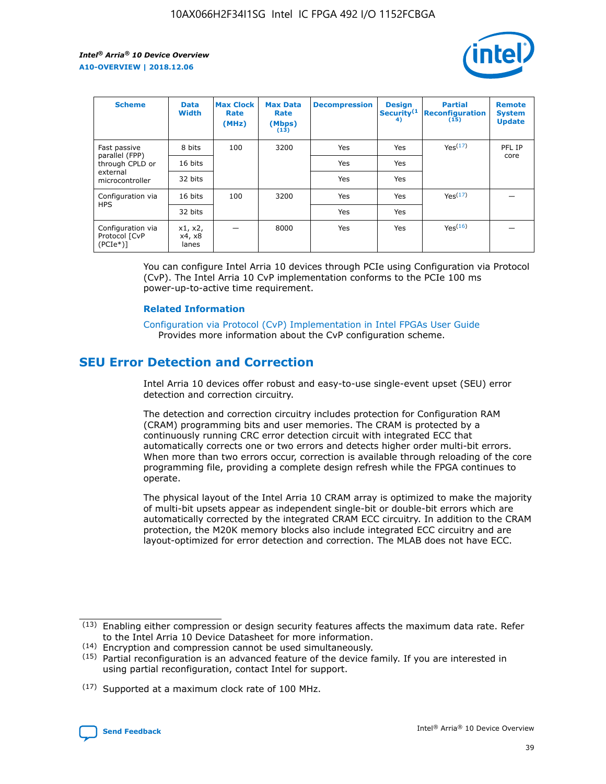

| <b>Scheme</b>                                    | <b>Data</b><br><b>Width</b> | <b>Max Clock</b><br>Rate<br>(MHz) | <b>Max Data</b><br>Rate<br>(Mbps)<br>(13) | <b>Decompression</b> | <b>Design</b><br>Security <sup>(1</sup><br>4) | <b>Partial</b><br><b>Reconfiguration</b><br>(15) | <b>Remote</b><br><b>System</b><br><b>Update</b> |
|--------------------------------------------------|-----------------------------|-----------------------------------|-------------------------------------------|----------------------|-----------------------------------------------|--------------------------------------------------|-------------------------------------------------|
| Fast passive                                     | 8 bits                      | 100                               | 3200                                      | <b>Yes</b>           | Yes                                           | Yes(17)                                          | PFL IP                                          |
| parallel (FPP)<br>through CPLD or                | 16 bits                     |                                   |                                           | Yes                  | Yes                                           |                                                  | core                                            |
| external<br>microcontroller                      | 32 bits                     |                                   |                                           | Yes                  | Yes                                           |                                                  |                                                 |
| Configuration via                                | 16 bits                     | 100                               | 3200                                      | Yes                  | Yes                                           | Yes <sup>(17)</sup>                              |                                                 |
| <b>HPS</b>                                       | 32 bits                     |                                   |                                           | Yes                  | Yes                                           |                                                  |                                                 |
| Configuration via<br>Protocol [CvP<br>$(PCIe^*)$ | x1, x2,<br>x4, x8<br>lanes  |                                   | 8000                                      | Yes                  | Yes                                           | Yes <sup>(16)</sup>                              |                                                 |

You can configure Intel Arria 10 devices through PCIe using Configuration via Protocol (CvP). The Intel Arria 10 CvP implementation conforms to the PCIe 100 ms power-up-to-active time requirement.

#### **Related Information**

[Configuration via Protocol \(CvP\) Implementation in Intel FPGAs User Guide](https://www.intel.com/content/www/us/en/programmable/documentation/dsu1441819344145.html#dsu1442269728522) Provides more information about the CvP configuration scheme.

## **SEU Error Detection and Correction**

Intel Arria 10 devices offer robust and easy-to-use single-event upset (SEU) error detection and correction circuitry.

The detection and correction circuitry includes protection for Configuration RAM (CRAM) programming bits and user memories. The CRAM is protected by a continuously running CRC error detection circuit with integrated ECC that automatically corrects one or two errors and detects higher order multi-bit errors. When more than two errors occur, correction is available through reloading of the core programming file, providing a complete design refresh while the FPGA continues to operate.

The physical layout of the Intel Arria 10 CRAM array is optimized to make the majority of multi-bit upsets appear as independent single-bit or double-bit errors which are automatically corrected by the integrated CRAM ECC circuitry. In addition to the CRAM protection, the M20K memory blocks also include integrated ECC circuitry and are layout-optimized for error detection and correction. The MLAB does not have ECC.

(14) Encryption and compression cannot be used simultaneously.

<sup>(17)</sup> Supported at a maximum clock rate of 100 MHz.



 $(13)$  Enabling either compression or design security features affects the maximum data rate. Refer to the Intel Arria 10 Device Datasheet for more information.

 $(15)$  Partial reconfiguration is an advanced feature of the device family. If you are interested in using partial reconfiguration, contact Intel for support.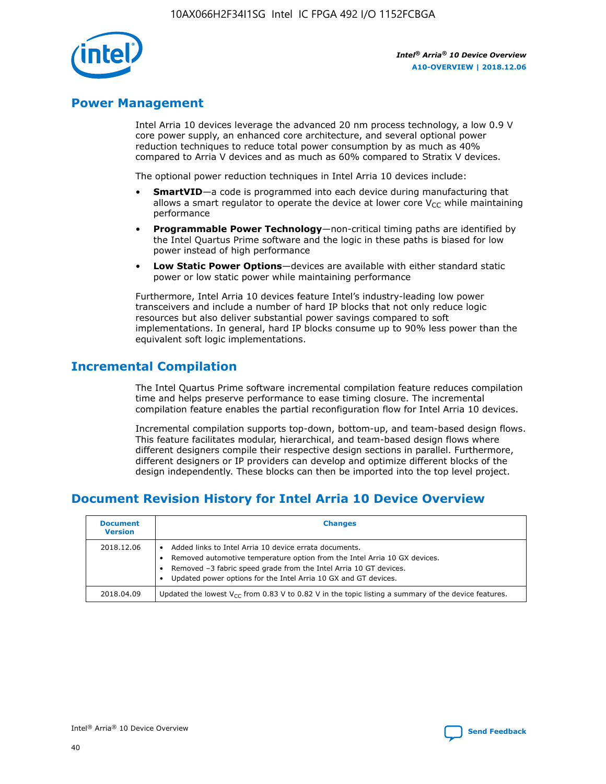

## **Power Management**

Intel Arria 10 devices leverage the advanced 20 nm process technology, a low 0.9 V core power supply, an enhanced core architecture, and several optional power reduction techniques to reduce total power consumption by as much as 40% compared to Arria V devices and as much as 60% compared to Stratix V devices.

The optional power reduction techniques in Intel Arria 10 devices include:

- **SmartVID**—a code is programmed into each device during manufacturing that allows a smart regulator to operate the device at lower core  $V_{CC}$  while maintaining performance
- **Programmable Power Technology**—non-critical timing paths are identified by the Intel Quartus Prime software and the logic in these paths is biased for low power instead of high performance
- **Low Static Power Options**—devices are available with either standard static power or low static power while maintaining performance

Furthermore, Intel Arria 10 devices feature Intel's industry-leading low power transceivers and include a number of hard IP blocks that not only reduce logic resources but also deliver substantial power savings compared to soft implementations. In general, hard IP blocks consume up to 90% less power than the equivalent soft logic implementations.

## **Incremental Compilation**

The Intel Quartus Prime software incremental compilation feature reduces compilation time and helps preserve performance to ease timing closure. The incremental compilation feature enables the partial reconfiguration flow for Intel Arria 10 devices.

Incremental compilation supports top-down, bottom-up, and team-based design flows. This feature facilitates modular, hierarchical, and team-based design flows where different designers compile their respective design sections in parallel. Furthermore, different designers or IP providers can develop and optimize different blocks of the design independently. These blocks can then be imported into the top level project.

## **Document Revision History for Intel Arria 10 Device Overview**

| <b>Document</b><br><b>Version</b> | <b>Changes</b>                                                                                                                                                                                                                                                              |
|-----------------------------------|-----------------------------------------------------------------------------------------------------------------------------------------------------------------------------------------------------------------------------------------------------------------------------|
| 2018.12.06                        | Added links to Intel Arria 10 device errata documents.<br>Removed automotive temperature option from the Intel Arria 10 GX devices.<br>Removed -3 fabric speed grade from the Intel Arria 10 GT devices.<br>Updated power options for the Intel Arria 10 GX and GT devices. |
| 2018.04.09                        | Updated the lowest $V_{CC}$ from 0.83 V to 0.82 V in the topic listing a summary of the device features.                                                                                                                                                                    |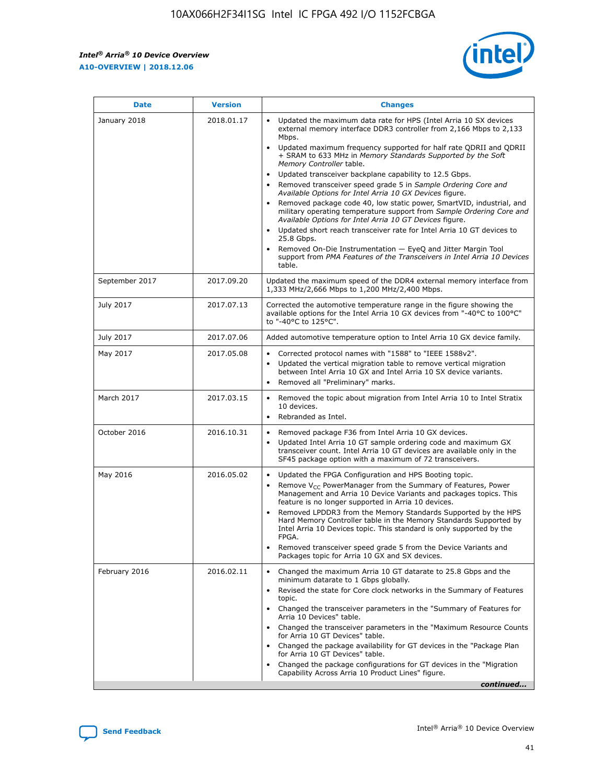

| <b>Date</b>    | <b>Version</b> | <b>Changes</b>                                                                                                                                                                                                                                                                                                                                                                                                                                                                                                                                                                                                                                                                                                                                                                                                                                                                                                                                               |
|----------------|----------------|--------------------------------------------------------------------------------------------------------------------------------------------------------------------------------------------------------------------------------------------------------------------------------------------------------------------------------------------------------------------------------------------------------------------------------------------------------------------------------------------------------------------------------------------------------------------------------------------------------------------------------------------------------------------------------------------------------------------------------------------------------------------------------------------------------------------------------------------------------------------------------------------------------------------------------------------------------------|
| January 2018   | 2018.01.17     | Updated the maximum data rate for HPS (Intel Arria 10 SX devices<br>external memory interface DDR3 controller from 2,166 Mbps to 2,133<br>Mbps.<br>Updated maximum frequency supported for half rate QDRII and QDRII<br>+ SRAM to 633 MHz in Memory Standards Supported by the Soft<br>Memory Controller table.<br>Updated transceiver backplane capability to 12.5 Gbps.<br>Removed transceiver speed grade 5 in Sample Ordering Core and<br>Available Options for Intel Arria 10 GX Devices figure.<br>Removed package code 40, low static power, SmartVID, industrial, and<br>military operating temperature support from Sample Ordering Core and<br>Available Options for Intel Arria 10 GT Devices figure.<br>Updated short reach transceiver rate for Intel Arria 10 GT devices to<br>25.8 Gbps.<br>Removed On-Die Instrumentation - EyeQ and Jitter Margin Tool<br>support from PMA Features of the Transceivers in Intel Arria 10 Devices<br>table. |
| September 2017 | 2017.09.20     | Updated the maximum speed of the DDR4 external memory interface from<br>1,333 MHz/2,666 Mbps to 1,200 MHz/2,400 Mbps.                                                                                                                                                                                                                                                                                                                                                                                                                                                                                                                                                                                                                                                                                                                                                                                                                                        |
| July 2017      | 2017.07.13     | Corrected the automotive temperature range in the figure showing the<br>available options for the Intel Arria 10 GX devices from "-40°C to 100°C"<br>to "-40°C to 125°C".                                                                                                                                                                                                                                                                                                                                                                                                                                                                                                                                                                                                                                                                                                                                                                                    |
| July 2017      | 2017.07.06     | Added automotive temperature option to Intel Arria 10 GX device family.                                                                                                                                                                                                                                                                                                                                                                                                                                                                                                                                                                                                                                                                                                                                                                                                                                                                                      |
| May 2017       | 2017.05.08     | Corrected protocol names with "1588" to "IEEE 1588v2".<br>$\bullet$<br>Updated the vertical migration table to remove vertical migration<br>$\bullet$<br>between Intel Arria 10 GX and Intel Arria 10 SX device variants.<br>Removed all "Preliminary" marks.<br>$\bullet$                                                                                                                                                                                                                                                                                                                                                                                                                                                                                                                                                                                                                                                                                   |
| March 2017     | 2017.03.15     | Removed the topic about migration from Intel Arria 10 to Intel Stratix<br>$\bullet$<br>10 devices.<br>Rebranded as Intel.<br>$\bullet$                                                                                                                                                                                                                                                                                                                                                                                                                                                                                                                                                                                                                                                                                                                                                                                                                       |
| October 2016   | 2016.10.31     | Removed package F36 from Intel Arria 10 GX devices.<br>Updated Intel Arria 10 GT sample ordering code and maximum GX<br>$\bullet$<br>transceiver count. Intel Arria 10 GT devices are available only in the<br>SF45 package option with a maximum of 72 transceivers.                                                                                                                                                                                                                                                                                                                                                                                                                                                                                                                                                                                                                                                                                        |
| May 2016       | 2016.05.02     | Updated the FPGA Configuration and HPS Booting topic.<br>$\bullet$<br>Remove V <sub>CC</sub> PowerManager from the Summary of Features, Power<br>Management and Arria 10 Device Variants and packages topics. This<br>feature is no longer supported in Arria 10 devices.<br>Removed LPDDR3 from the Memory Standards Supported by the HPS<br>Hard Memory Controller table in the Memory Standards Supported by<br>Intel Arria 10 Devices topic. This standard is only supported by the<br><b>FPGA</b><br>Removed transceiver speed grade 5 from the Device Variants and<br>Packages topic for Arria 10 GX and SX devices.                                                                                                                                                                                                                                                                                                                                   |
| February 2016  | 2016.02.11     | Changed the maximum Arria 10 GT datarate to 25.8 Gbps and the<br>$\bullet$<br>minimum datarate to 1 Gbps globally.<br>Revised the state for Core clock networks in the Summary of Features<br>$\bullet$<br>topic.<br>Changed the transceiver parameters in the "Summary of Features for<br>$\bullet$<br>Arria 10 Devices" table.<br>Changed the transceiver parameters in the "Maximum Resource Counts<br>for Arria 10 GT Devices" table.<br>Changed the package availability for GT devices in the "Package Plan<br>for Arria 10 GT Devices" table.<br>Changed the package configurations for GT devices in the "Migration"<br>Capability Across Arria 10 Product Lines" figure.<br>continued                                                                                                                                                                                                                                                               |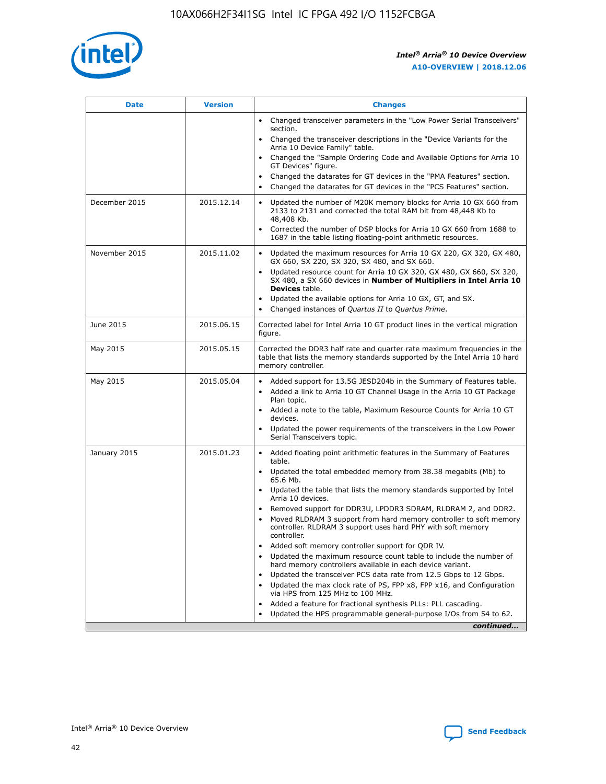

| <b>Date</b>   | <b>Version</b> | <b>Changes</b>                                                                                                                                                               |
|---------------|----------------|------------------------------------------------------------------------------------------------------------------------------------------------------------------------------|
|               |                | • Changed transceiver parameters in the "Low Power Serial Transceivers"<br>section.                                                                                          |
|               |                | • Changed the transceiver descriptions in the "Device Variants for the<br>Arria 10 Device Family" table.                                                                     |
|               |                | Changed the "Sample Ordering Code and Available Options for Arria 10<br>$\bullet$<br>GT Devices" figure.                                                                     |
|               |                | Changed the datarates for GT devices in the "PMA Features" section.                                                                                                          |
|               |                | Changed the datarates for GT devices in the "PCS Features" section.<br>$\bullet$                                                                                             |
| December 2015 | 2015.12.14     | Updated the number of M20K memory blocks for Arria 10 GX 660 from<br>2133 to 2131 and corrected the total RAM bit from 48,448 Kb to<br>48,408 Kb.                            |
|               |                | Corrected the number of DSP blocks for Arria 10 GX 660 from 1688 to<br>1687 in the table listing floating-point arithmetic resources.                                        |
| November 2015 | 2015.11.02     | Updated the maximum resources for Arria 10 GX 220, GX 320, GX 480,<br>$\bullet$<br>GX 660, SX 220, SX 320, SX 480, and SX 660.                                               |
|               |                | • Updated resource count for Arria 10 GX 320, GX 480, GX 660, SX 320,<br>SX 480, a SX 660 devices in Number of Multipliers in Intel Arria 10<br><b>Devices</b> table.        |
|               |                | Updated the available options for Arria 10 GX, GT, and SX.                                                                                                                   |
|               |                | Changed instances of Quartus II to Quartus Prime.<br>$\bullet$                                                                                                               |
| June 2015     | 2015.06.15     | Corrected label for Intel Arria 10 GT product lines in the vertical migration<br>figure.                                                                                     |
| May 2015      | 2015.05.15     | Corrected the DDR3 half rate and quarter rate maximum frequencies in the<br>table that lists the memory standards supported by the Intel Arria 10 hard<br>memory controller. |
| May 2015      | 2015.05.04     | • Added support for 13.5G JESD204b in the Summary of Features table.<br>• Added a link to Arria 10 GT Channel Usage in the Arria 10 GT Package<br>Plan topic.                |
|               |                | • Added a note to the table, Maximum Resource Counts for Arria 10 GT<br>devices.                                                                                             |
|               |                | • Updated the power requirements of the transceivers in the Low Power<br>Serial Transceivers topic.                                                                          |
| January 2015  | 2015.01.23     | • Added floating point arithmetic features in the Summary of Features<br>table.                                                                                              |
|               |                | • Updated the total embedded memory from 38.38 megabits (Mb) to<br>65.6 Mb.                                                                                                  |
|               |                | • Updated the table that lists the memory standards supported by Intel<br>Arria 10 devices.                                                                                  |
|               |                | Removed support for DDR3U, LPDDR3 SDRAM, RLDRAM 2, and DDR2.                                                                                                                 |
|               |                | Moved RLDRAM 3 support from hard memory controller to soft memory<br>controller. RLDRAM 3 support uses hard PHY with soft memory<br>controller.                              |
|               |                | Added soft memory controller support for QDR IV.<br>٠                                                                                                                        |
|               |                | Updated the maximum resource count table to include the number of<br>hard memory controllers available in each device variant.                                               |
|               |                | Updated the transceiver PCS data rate from 12.5 Gbps to 12 Gbps.<br>$\bullet$                                                                                                |
|               |                | Updated the max clock rate of PS, FPP x8, FPP x16, and Configuration<br>via HPS from 125 MHz to 100 MHz.                                                                     |
|               |                | Added a feature for fractional synthesis PLLs: PLL cascading.                                                                                                                |
|               |                | Updated the HPS programmable general-purpose I/Os from 54 to 62.<br>$\bullet$<br>continued                                                                                   |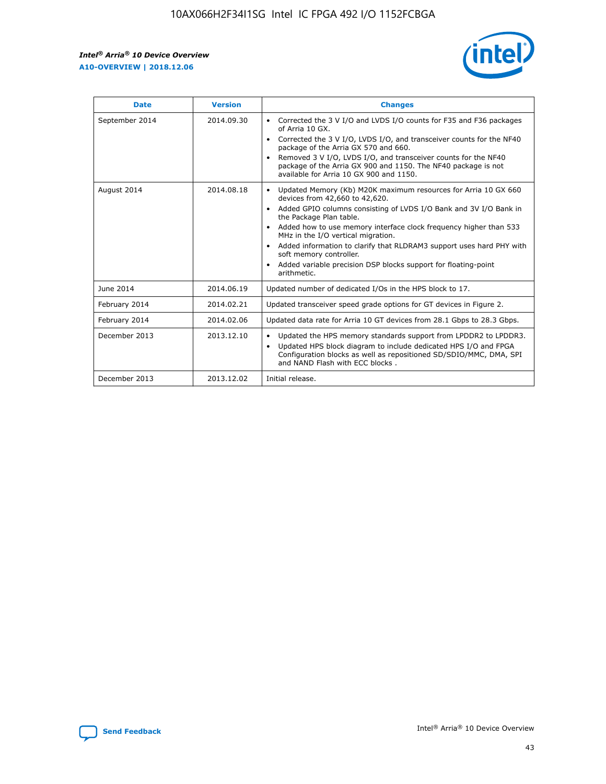r



| <b>Date</b>    | <b>Version</b> | <b>Changes</b>                                                                                                                                                                                                                                                                                                                                                                                                                                                                                                                                      |
|----------------|----------------|-----------------------------------------------------------------------------------------------------------------------------------------------------------------------------------------------------------------------------------------------------------------------------------------------------------------------------------------------------------------------------------------------------------------------------------------------------------------------------------------------------------------------------------------------------|
| September 2014 | 2014.09.30     | Corrected the 3 V I/O and LVDS I/O counts for F35 and F36 packages<br>$\bullet$<br>of Arria 10 GX.<br>Corrected the 3 V I/O, LVDS I/O, and transceiver counts for the NF40<br>$\bullet$<br>package of the Arria GX 570 and 660.<br>Removed 3 V I/O, LVDS I/O, and transceiver counts for the NF40<br>package of the Arria GX 900 and 1150. The NF40 package is not<br>available for Arria 10 GX 900 and 1150.                                                                                                                                       |
| August 2014    | 2014.08.18     | Updated Memory (Kb) M20K maximum resources for Arria 10 GX 660<br>devices from 42,660 to 42,620.<br>Added GPIO columns consisting of LVDS I/O Bank and 3V I/O Bank in<br>$\bullet$<br>the Package Plan table.<br>Added how to use memory interface clock frequency higher than 533<br>$\bullet$<br>MHz in the I/O vertical migration.<br>Added information to clarify that RLDRAM3 support uses hard PHY with<br>$\bullet$<br>soft memory controller.<br>Added variable precision DSP blocks support for floating-point<br>$\bullet$<br>arithmetic. |
| June 2014      | 2014.06.19     | Updated number of dedicated I/Os in the HPS block to 17.                                                                                                                                                                                                                                                                                                                                                                                                                                                                                            |
| February 2014  | 2014.02.21     | Updated transceiver speed grade options for GT devices in Figure 2.                                                                                                                                                                                                                                                                                                                                                                                                                                                                                 |
| February 2014  | 2014.02.06     | Updated data rate for Arria 10 GT devices from 28.1 Gbps to 28.3 Gbps.                                                                                                                                                                                                                                                                                                                                                                                                                                                                              |
| December 2013  | 2013.12.10     | Updated the HPS memory standards support from LPDDR2 to LPDDR3.<br>Updated HPS block diagram to include dedicated HPS I/O and FPGA<br>$\bullet$<br>Configuration blocks as well as repositioned SD/SDIO/MMC, DMA, SPI<br>and NAND Flash with ECC blocks.                                                                                                                                                                                                                                                                                            |
| December 2013  | 2013.12.02     | Initial release.                                                                                                                                                                                                                                                                                                                                                                                                                                                                                                                                    |